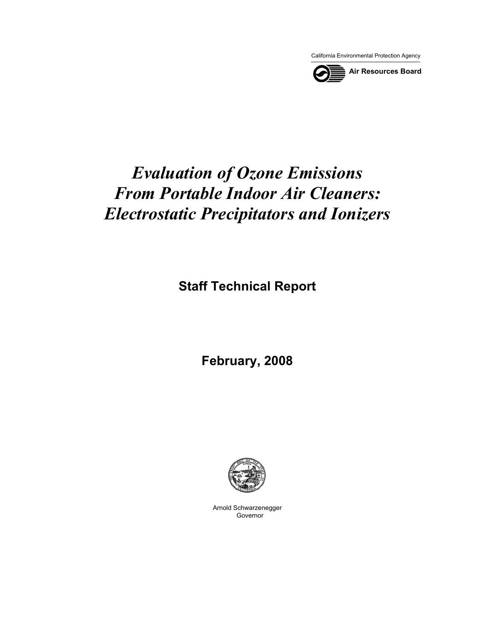California Environmental Protection Agency



# *Evaluation of Ozone Emissions From Portable Indoor Air Cleaners: Electrostatic Precipitators and Ionizers*

**Staff Technical Report** 

**February, 2008** 



Arnold Schwarzenegger Governor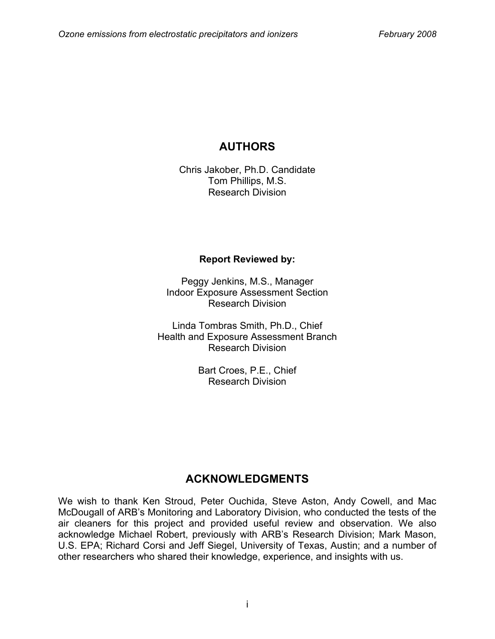# **AUTHORS**

Chris Jakober, Ph.D. Candidate Tom Phillips, M.S. Research Division

#### **Report Reviewed by:**

Peggy Jenkins, M.S., Manager Indoor Exposure Assessment Section Research Division

Linda Tombras Smith, Ph.D., Chief Health and Exposure Assessment Branch Research Division

> Bart Croes, P.E., Chief Research Division

## **ACKNOWLEDGMENTS**

We wish to thank Ken Stroud, Peter Ouchida, Steve Aston, Andy Cowell, and Mac McDougall of ARB's Monitoring and Laboratory Division, who conducted the tests of the air cleaners for this project and provided useful review and observation. We also acknowledge Michael Robert, previously with ARB's Research Division; Mark Mason, U.S. EPA; Richard Corsi and Jeff Siegel, University of Texas, Austin; and a number of other researchers who shared their knowledge, experience, and insights with us.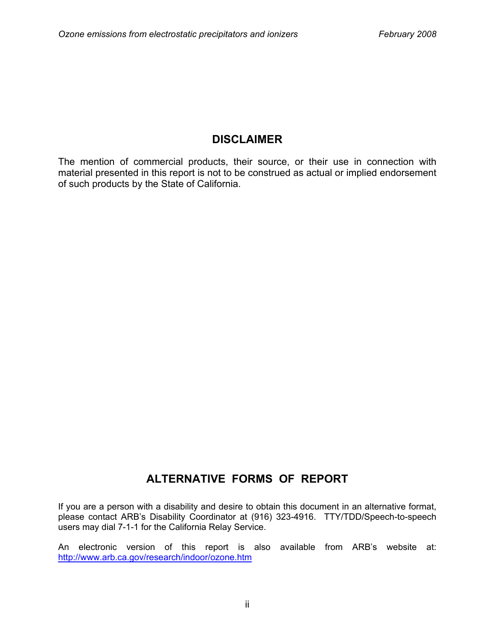## **DISCLAIMER**

The mention of commercial products, their source, or their use in connection with material presented in this report is not to be construed as actual or implied endorsement of such products by the State of California.

# **ALTERNATIVE FORMS OF REPORT**

If you are a person with a disability and desire to obtain this document in an alternative format, please contact ARB's Disability Coordinator at (916) 323-4916. TTY/TDD/Speech-to-speech users may dial 7-1-1 for the California Relay Service.

An electronic version of this report is also available from ARB's website at: <http://www.arb.ca.gov/research/indoor/ozone.htm>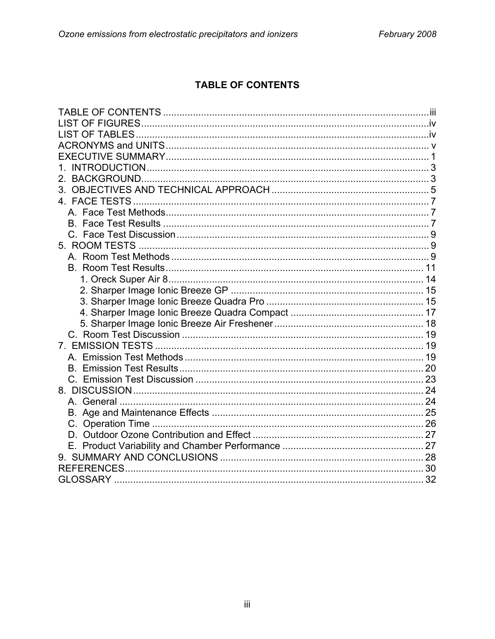## **TABLE OF CONTENTS**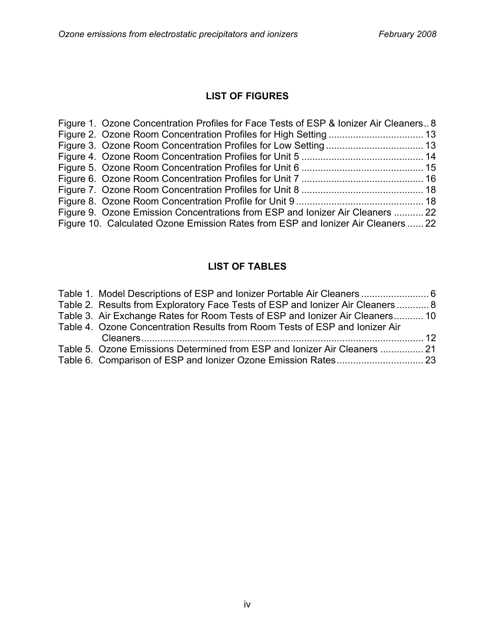## **LIST OF FIGURES**

| Figure 1. Ozone Concentration Profiles for Face Tests of ESP & Ionizer Air Cleaners 8 |  |
|---------------------------------------------------------------------------------------|--|
|                                                                                       |  |
|                                                                                       |  |
|                                                                                       |  |
|                                                                                       |  |
|                                                                                       |  |
|                                                                                       |  |
|                                                                                       |  |
| Figure 9. Ozone Emission Concentrations from ESP and Ionizer Air Cleaners  22         |  |
| Figure 10. Calculated Ozone Emission Rates from ESP and Ionizer Air Cleaners  22      |  |

## **LIST OF TABLES**

| Table 1. Model Descriptions of ESP and Ionizer Portable Air Cleaners  6         |  |
|---------------------------------------------------------------------------------|--|
| Table 2. Results from Exploratory Face Tests of ESP and lonizer Air Cleaners  8 |  |
| Table 3. Air Exchange Rates for Room Tests of ESP and Ionizer Air Cleaners 10   |  |
| Table 4. Ozone Concentration Results from Room Tests of ESP and lonizer Air     |  |
|                                                                                 |  |
| Table 5. Ozone Emissions Determined from ESP and lonizer Air Cleaners  21       |  |
|                                                                                 |  |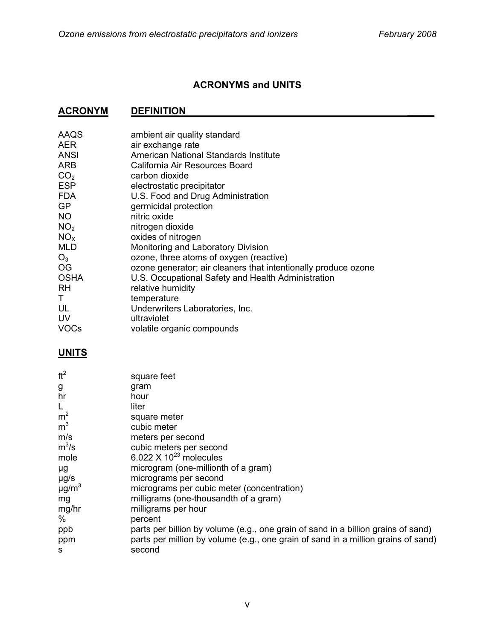## **ACRONYMS and UNITS**

## **ACRONYM DEFINITION ACRONYM**

| AAQS            | ambient air quality standard                                   |
|-----------------|----------------------------------------------------------------|
| <b>AER</b>      | air exchange rate                                              |
| <b>ANSI</b>     | American National Standards Institute                          |
| <b>ARB</b>      | California Air Resources Board                                 |
| CO <sub>2</sub> | carbon dioxide                                                 |
| <b>ESP</b>      | electrostatic precipitator                                     |
| <b>FDA</b>      | U.S. Food and Drug Administration                              |
| <b>GP</b>       | germicidal protection                                          |
| <b>NO</b>       | nitric oxide                                                   |
| NO <sub>2</sub> | nitrogen dioxide                                               |
| NO <sub>x</sub> | oxides of nitrogen                                             |
| <b>MLD</b>      | Monitoring and Laboratory Division                             |
| $O_3$           | ozone, three atoms of oxygen (reactive)                        |
| <b>OG</b>       | ozone generator; air cleaners that intentionally produce ozone |
| <b>OSHA</b>     | U.S. Occupational Safety and Health Administration             |
| <b>RH</b>       | relative humidity                                              |
| T.              | temperature                                                    |
| UL              | Underwriters Laboratories, Inc.                                |
| UV              | ultraviolet                                                    |
| <b>VOCs</b>     | volatile organic compounds                                     |

#### **UNITS**

| ft <sup>2</sup>        | square feet                                                                       |
|------------------------|-----------------------------------------------------------------------------------|
| g                      | gram                                                                              |
| hr                     | hour                                                                              |
| L                      | liter                                                                             |
| m <sup>2</sup>         | square meter                                                                      |
| m <sup>3</sup>         | cubic meter                                                                       |
| m/s                    | meters per second                                                                 |
| $m^3/s$                | cubic meters per second                                                           |
| mole                   | 6.022 $\times$ 10 <sup>23</sup> molecules                                         |
| μg                     | microgram (one-millionth of a gram)                                               |
| $\mu$ g/s              | micrograms per second                                                             |
| $\mu$ g/m <sup>3</sup> | micrograms per cubic meter (concentration)                                        |
| mg                     | milligrams (one-thousandth of a gram)                                             |
| mg/hr                  | milligrams per hour                                                               |
| %                      | percent                                                                           |
| ppb                    | parts per billion by volume (e.g., one grain of sand in a billion grains of sand) |
| ppm                    | parts per million by volume (e.g., one grain of sand in a million grains of sand) |
| s                      | second                                                                            |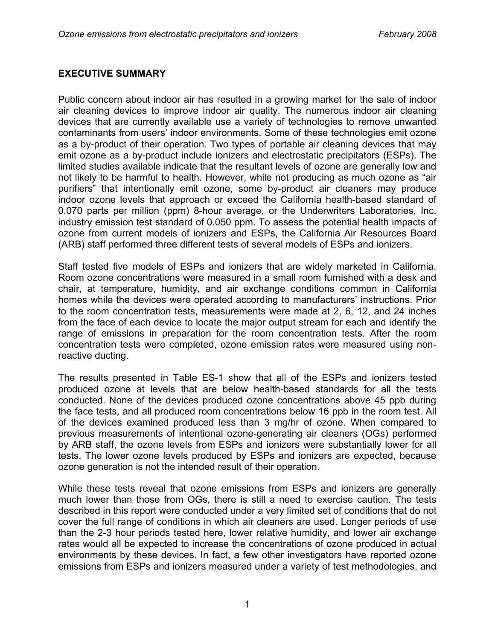#### **EXECUTIVE SUMMARY**

Public concern about indoor air has resulted in a growing market for the sale of indoor air cleaning devices to improve indoor air quality. The numerous indoor air cleaning devices that are currently available use a variety of technologies to remove unwanted contaminants from users' indoor environments. Some of these technologies emit ozone as a by-product of their operation. Two types of portable air cleaning devices that may emit ozone as a by-product include ionizers and electrostatic precipitators (ESPs). The limited studies available indicate that the resultant levels of ozone are generally low and not likely to be harmful to health. However, while not producing as much ozone as "air purifiers" that intentionally emit ozone, some by-product air cleaners may produce indoor ozone levels that approach or exceed the California health-based standard of 0.070 parts per million (ppm) 8-hour average, or the Underwriters Laboratories, Inc. industry emission test standard of 0.050 ppm. To assess the potential health impacts of ozone from current models of ionizers and ESPs, the California Air Resources Board (ARB) staff performed three different tests of several models of ESPs and ionizers.

Staff tested five models of ESPs and ionizers that are widely marketed in California. Room ozone concentrations were measured in a small room furnished with a desk and chair, at temperature, humidity, and air exchange conditions common in California homes while the devices were operated according to manufacturers' instructions. Prior to the room concentration tests, measurements were made at 2, 6, 12, and 24 inches from the face of each device to locate the major output stream for each and identify the range of emissions in preparation for the room concentration tests. After the room concentration tests were completed, ozone emission rates were measured using nonreactive ducting.

The results presented in Table ES-1 show that all of the ESPs and ionizers tested produced ozone at levels that are below health-based standards for all the tests conducted. None of the devices produced ozone concentrations above 45 ppb during the face tests, and all produced room concentrations below 16 ppb in the room test. All of the devices examined produced less than 3 mg/hr of ozone. When compared to previous measurements of intentional ozone-generating air cleaners (OGs) performed by ARB staff, the ozone levels from ESPs and ionizers were substantially lower for all tests. The lower ozone levels produced by ESPs and ionizers are expected, because ozone generation is not the intended result of their operation.

While these tests reveal that ozone emissions from ESPs and ionizers are generally much lower than those from OGs, there is still a need to exercise caution. The tests described in this report were conducted under a very limited set of conditions that do not cover the full range of conditions in which air cleaners are used. Longer periods of use than the 2-3 hour periods tested here, lower relative humidity, and lower air exchange rates would all be expected to increase the concentrations of ozone produced in actual environments by these devices. In fact, a few other investigators have reported ozone emissions from ESPs and ionizers measured under a variety of test methodologies, and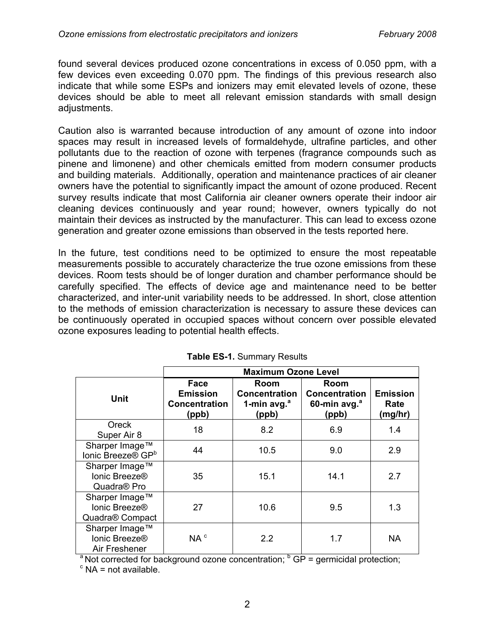found several devices produced ozone concentrations in excess of 0.050 ppm, with a few devices even exceeding 0.070 ppm. The findings of this previous research also indicate that while some ESPs and ionizers may emit elevated levels of ozone, these devices should be able to meet all relevant emission standards with small design adjustments.

Caution also is warranted because introduction of any amount of ozone into indoor spaces may result in increased levels of formaldehyde, ultrafine particles, and other pollutants due to the reaction of ozone with terpenes (fragrance compounds such as pinene and limonene) and other chemicals emitted from modern consumer products and building materials. Additionally, operation and maintenance practices of air cleaner owners have the potential to significantly impact the amount of ozone produced. Recent survey results indicate that most California air cleaner owners operate their indoor air cleaning devices continuously and year round; however, owners typically do not maintain their devices as instructed by the manufacturer. This can lead to excess ozone generation and greater ozone emissions than observed in the tests reported here.

In the future, test conditions need to be optimized to ensure the most repeatable measurements possible to accurately characterize the true ozone emissions from these devices. Room tests should be of longer duration and chamber performance should be carefully specified. The effects of device age and maintenance need to be better characterized, and inter-unit variability needs to be addressed. In short, close attention to the methods of emission characterization is necessary to assure these devices can be continuously operated in occupied spaces without concern over possible elevated ozone exposures leading to potential health effects.

|                                                            | <b>Maximum Ozone Level</b>                               |                                                        |                                                          |                                    |  |
|------------------------------------------------------------|----------------------------------------------------------|--------------------------------------------------------|----------------------------------------------------------|------------------------------------|--|
| Unit                                                       | Face<br><b>Emission</b><br><b>Concentration</b><br>(ppb) | Room<br><b>Concentration</b><br>1-min $avg.a$<br>(ppb) | Room<br><b>Concentration</b><br>60-min avg. $a$<br>(ppb) | <b>Emission</b><br>Rate<br>(mg/hr) |  |
| Oreck<br>Super Air 8                                       | 18                                                       | 8.2                                                    | 6.9                                                      | 1.4                                |  |
| Sharper Image™<br>Ionic Breeze® GP <sup>b</sup>            | 44                                                       | 10.5                                                   | 9.0                                                      | 2.9                                |  |
| Sharper Image™<br>lonic Breeze®<br>Quadra <sup>®</sup> Pro | 35                                                       | 15.1                                                   | 14.1                                                     | 2.7                                |  |
| Sharper Image™<br>Ionic Breeze®<br>Quadra® Compact         | 27                                                       | 10.6                                                   | 9.5                                                      | 1.3                                |  |
| Sharper Image™<br>Ionic Breeze®<br>Air Freshener           | NA <sup>c</sup>                                          | $2.2\phantom{0}$                                       | 1.7                                                      | NA.                                |  |

|  | <b>Table ES-1. Summary Results</b> |  |
|--|------------------------------------|--|
|  |                                    |  |

<sup>a</sup> Not corrected for background ozone concentration;  $\frac{b}{c}$  GP = germicidal protection;  $\frac{c}{c}$  NA = not available

 $\textdegree$  NA = not available.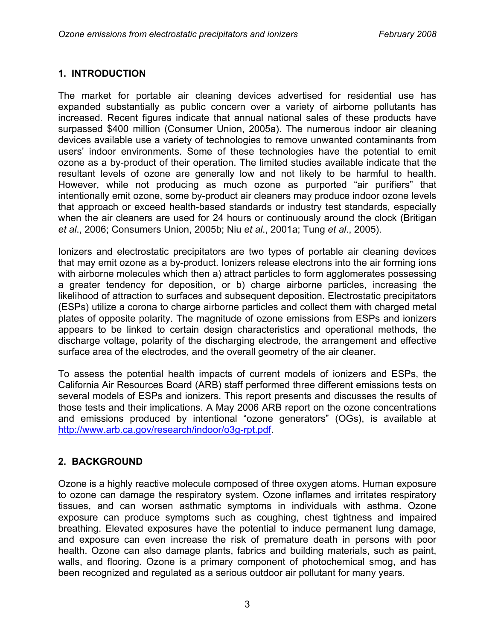#### **1. INTRODUCTION**

The market for portable air cleaning devices advertised for residential use has expanded substantially as public concern over a variety of airborne pollutants has increased. Recent figures indicate that annual national sales of these products have surpassed \$400 million (Consumer Union, 2005a). The numerous indoor air cleaning devices available use a variety of technologies to remove unwanted contaminants from users' indoor environments. Some of these technologies have the potential to emit ozone as a by-product of their operation. The limited studies available indicate that the resultant levels of ozone are generally low and not likely to be harmful to health. However, while not producing as much ozone as purported "air purifiers" that intentionally emit ozone, some by-product air cleaners may produce indoor ozone levels that approach or exceed health-based standards or industry test standards, especially when the air cleaners are used for 24 hours or continuously around the clock (Britigan *et al*., 2006; Consumers Union, 2005b; Niu *et al*., 2001a; Tung *et al*., 2005).

Ionizers and electrostatic precipitators are two types of portable air cleaning devices that may emit ozone as a by-product. Ionizers release electrons into the air forming ions with airborne molecules which then a) attract particles to form agglomerates possessing a greater tendency for deposition, or b) charge airborne particles, increasing the likelihood of attraction to surfaces and subsequent deposition. Electrostatic precipitators (ESPs) utilize a corona to charge airborne particles and collect them with charged metal plates of opposite polarity. The magnitude of ozone emissions from ESPs and ionizers appears to be linked to certain design characteristics and operational methods, the discharge voltage, polarity of the discharging electrode, the arrangement and effective surface area of the electrodes, and the overall geometry of the air cleaner.

To assess the potential health impacts of current models of ionizers and ESPs, the California Air Resources Board (ARB) staff performed three different emissions tests on several models of ESPs and ionizers. This report presents and discusses the results of those tests and their implications. A May 2006 ARB report on the ozone concentrations and emissions produced by intentional "ozone generators" (OGs), is available at [http://www.arb.ca.gov/research/indoor/o3g-rpt.pdf.](http://www.arb.ca.gov/research/indoor/o3g-rpt.pdf) 

#### **2. BACKGROUND**

Ozone is a highly reactive molecule composed of three oxygen atoms. Human exposure to ozone can damage the respiratory system. Ozone inflames and irritates respiratory tissues, and can worsen asthmatic symptoms in individuals with asthma. Ozone exposure can produce symptoms such as coughing, chest tightness and impaired breathing. Elevated exposures have the potential to induce permanent lung damage, and exposure can even increase the risk of premature death in persons with poor health. Ozone can also damage plants, fabrics and building materials, such as paint, walls, and flooring. Ozone is a primary component of photochemical smog, and has been recognized and regulated as a serious outdoor air pollutant for many years.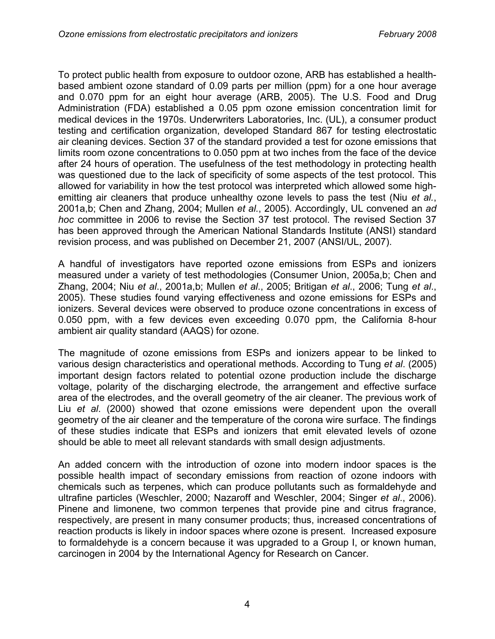To protect public health from exposure to outdoor ozone, ARB has established a healthbased ambient ozone standard of 0.09 parts per million (ppm) for a one hour average and 0.070 ppm for an eight hour average (ARB, 2005). The U.S. Food and Drug Administration (FDA) established a 0.05 ppm ozone emission concentration limit for medical devices in the 1970s. Underwriters Laboratories, Inc. (UL), a consumer product testing and certification organization, developed Standard 867 for testing electrostatic air cleaning devices. Section 37 of the standard provided a test for ozone emissions that limits room ozone concentrations to 0.050 ppm at two inches from the face of the device after 24 hours of operation. The usefulness of the test methodology in protecting health was questioned due to the lack of specificity of some aspects of the test protocol. This allowed for variability in how the test protocol was interpreted which allowed some highemitting air cleaners that produce unhealthy ozone levels to pass the test (Niu *et al.*, 2001a,b; Chen and Zhang, 2004; Mullen *et al.*, 2005). Accordingly, UL convened an *ad hoc* committee in 2006 to revise the Section 37 test protocol. The revised Section 37 has been approved through the American National Standards Institute (ANSI) standard revision process, and was published on December 21, 2007 (ANSI/UL, 2007).

A handful of investigators have reported ozone emissions from ESPs and ionizers measured under a variety of test methodologies (Consumer Union, 2005a,b; Chen and Zhang, 2004; Niu *et al*., 2001a,b; Mullen *et al*., 2005; Britigan *et al*., 2006; Tung *et al*., 2005). These studies found varying effectiveness and ozone emissions for ESPs and ionizers. Several devices were observed to produce ozone concentrations in excess of 0.050 ppm, with a few devices even exceeding 0.070 ppm, the California 8-hour ambient air quality standard (AAQS) for ozone.

The magnitude of ozone emissions from ESPs and ionizers appear to be linked to various design characteristics and operational methods. According to Tung *et al*. (2005) important design factors related to potential ozone production include the discharge voltage, polarity of the discharging electrode, the arrangement and effective surface area of the electrodes, and the overall geometry of the air cleaner. The previous work of Liu *et al*. (2000) showed that ozone emissions were dependent upon the overall geometry of the air cleaner and the temperature of the corona wire surface. The findings of these studies indicate that ESPs and ionizers that emit elevated levels of ozone should be able to meet all relevant standards with small design adjustments.

An added concern with the introduction of ozone into modern indoor spaces is the possible health impact of secondary emissions from reaction of ozone indoors with chemicals such as terpenes, which can produce pollutants such as formaldehyde and ultrafine particles (Weschler, 2000; Nazaroff and Weschler, 2004; Singer *et al*., 2006). Pinene and limonene, two common terpenes that provide pine and citrus fragrance, respectively, are present in many consumer products; thus, increased concentrations of reaction products is likely in indoor spaces where ozone is present. Increased exposure to formaldehyde is a concern because it was upgraded to a Group I, or known human, carcinogen in 2004 by the International Agency for Research on Cancer.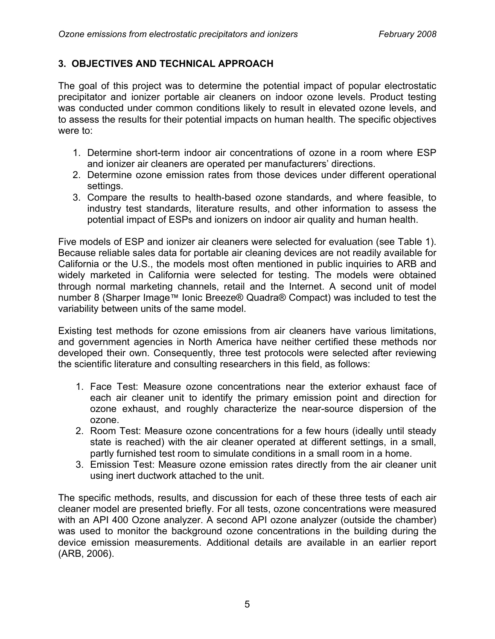#### **3. OBJECTIVES AND TECHNICAL APPROACH**

The goal of this project was to determine the potential impact of popular electrostatic precipitator and ionizer portable air cleaners on indoor ozone levels. Product testing was conducted under common conditions likely to result in elevated ozone levels, and to assess the results for their potential impacts on human health. The specific objectives were to:

- 1. Determine short-term indoor air concentrations of ozone in a room where ESP and ionizer air cleaners are operated per manufacturers' directions.
- 2. Determine ozone emission rates from those devices under different operational settings.
- 3. Compare the results to health-based ozone standards, and where feasible, to industry test standards, literature results, and other information to assess the potential impact of ESPs and ionizers on indoor air quality and human health.

Five models of ESP and ionizer air cleaners were selected for evaluation (see Table 1). Because reliable sales data for portable air cleaning devices are not readily available for California or the U.S., the models most often mentioned in public inquiries to ARB and widely marketed in California were selected for testing. The models were obtained through normal marketing channels, retail and the Internet. A second unit of model number 8 (Sharper Image™ Ionic Breeze® Quadra® Compact) was included to test the variability between units of the same model.

Existing test methods for ozone emissions from air cleaners have various limitations, and government agencies in North America have neither certified these methods nor developed their own. Consequently, three test protocols were selected after reviewing the scientific literature and consulting researchers in this field, as follows:

- 1. Face Test: Measure ozone concentrations near the exterior exhaust face of each air cleaner unit to identify the primary emission point and direction for ozone exhaust, and roughly characterize the near-source dispersion of the ozone.
- 2. Room Test: Measure ozone concentrations for a few hours (ideally until steady state is reached) with the air cleaner operated at different settings, in a small, partly furnished test room to simulate conditions in a small room in a home.
- 3. Emission Test: Measure ozone emission rates directly from the air cleaner unit using inert ductwork attached to the unit.

The specific methods, results, and discussion for each of these three tests of each air cleaner model are presented briefly. For all tests, ozone concentrations were measured with an API 400 Ozone analyzer. A second API ozone analyzer (outside the chamber) was used to monitor the background ozone concentrations in the building during the device emission measurements. Additional details are available in an earlier report (ARB, 2006).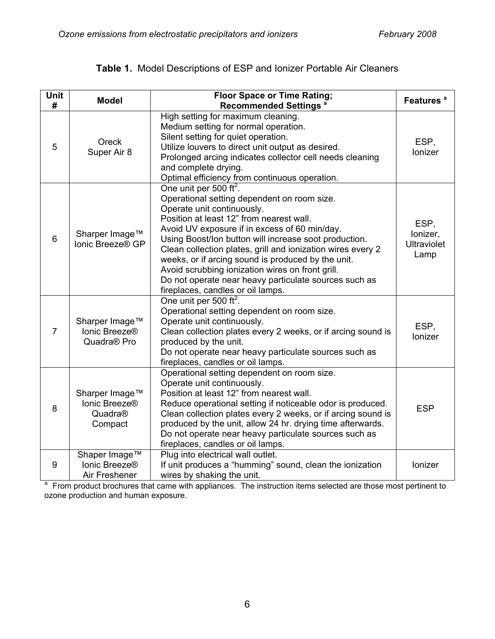| Unit<br># | <b>Model</b>                                               | <b>Floor Space or Time Rating;</b><br><b>Recommended Settings<sup>a</sup></b>                                                                                                                                                                                                                                                                                                                                                                                                                                                                | Features <sup>a</sup>                          |
|-----------|------------------------------------------------------------|----------------------------------------------------------------------------------------------------------------------------------------------------------------------------------------------------------------------------------------------------------------------------------------------------------------------------------------------------------------------------------------------------------------------------------------------------------------------------------------------------------------------------------------------|------------------------------------------------|
| 5         | Oreck<br>Super Air 8                                       | High setting for maximum cleaning.<br>Medium setting for normal operation.<br>Silent setting for quiet operation.<br>Utilize louvers to direct unit output as desired.<br>Prolonged arcing indicates collector cell needs cleaning<br>and complete drying.<br>Optimal efficiency from continuous operation.                                                                                                                                                                                                                                  | ESP,<br>Ionizer                                |
| 6         | Sharper Image™<br>Ionic Breeze® GP                         | One unit per 500 ft <sup>2</sup> .<br>Operational setting dependent on room size.<br>Operate unit continuously.<br>Position at least 12" from nearest wall.<br>Avoid UV exposure if in excess of 60 min/day.<br>Using Boost/Ion button will increase soot production.<br>Clean collection plates, grill and ionization wires every 2<br>weeks, or if arcing sound is produced by the unit.<br>Avoid scrubbing ionization wires on front grill.<br>Do not operate near heavy particulate sources such as<br>fireplaces, candles or oil lamps. | ESP,<br>lonizer,<br><b>Ultraviolet</b><br>Lamp |
| 7         | Sharper Image™<br>Ionic Breeze®<br>Quadra <sup>®</sup> Pro | One unit per 500 ft <sup>2</sup> .<br>Operational setting dependent on room size.<br>Operate unit continuously.<br>Clean collection plates every 2 weeks, or if arcing sound is<br>produced by the unit.<br>Do not operate near heavy particulate sources such as<br>fireplaces, candles or oil lamps.                                                                                                                                                                                                                                       | ESP,<br>Ionizer                                |
| 8         | Sharper Image™<br>Ionic Breeze®<br>Quadra®<br>Compact      | Operational setting dependent on room size.<br>Operate unit continuously.<br>Position at least 12" from nearest wall.<br>Reduce operational setting if noticeable odor is produced.<br>Clean collection plates every 2 weeks, or if arcing sound is<br>produced by the unit, allow 24 hr. drying time afterwards.<br>Do not operate near heavy particulate sources such as<br>fireplaces, candles or oil lamps.                                                                                                                              | <b>ESP</b>                                     |
| 9         | Shaper Image™<br>Ionic Breeze®<br>Air Freshener            | Plug into electrical wall outlet.<br>If unit produces a "humming" sound, clean the ionization<br>wires by shaking the unit.                                                                                                                                                                                                                                                                                                                                                                                                                  | Ionizer                                        |

## **Table 1.** Model Descriptions of ESP and Ionizer Portable Air Cleaners

Air Freshener | wires by shaking the unit.<br><sup>a</sup> From product brochures that came with appliances. The instruction items selected are those most pertinent to ozone production and human exposure.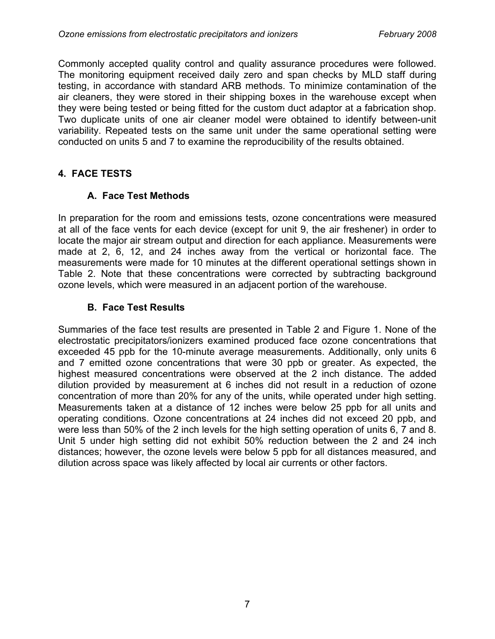Commonly accepted quality control and quality assurance procedures were followed. The monitoring equipment received daily zero and span checks by MLD staff during testing, in accordance with standard ARB methods. To minimize contamination of the air cleaners, they were stored in their shipping boxes in the warehouse except when they were being tested or being fitted for the custom duct adaptor at a fabrication shop. Two duplicate units of one air cleaner model were obtained to identify between-unit variability. Repeated tests on the same unit under the same operational setting were conducted on units 5 and 7 to examine the reproducibility of the results obtained.

## **4. FACE TESTS**

#### **A. Face Test Methods**

In preparation for the room and emissions tests, ozone concentrations were measured at all of the face vents for each device (except for unit 9, the air freshener) in order to locate the major air stream output and direction for each appliance. Measurements were made at 2, 6, 12, and 24 inches away from the vertical or horizontal face. The measurements were made for 10 minutes at the different operational settings shown in Table 2. Note that these concentrations were corrected by subtracting background ozone levels, which were measured in an adjacent portion of the warehouse.

#### **B. Face Test Results**

Summaries of the face test results are presented in Table 2 and Figure 1. None of the electrostatic precipitators/ionizers examined produced face ozone concentrations that exceeded 45 ppb for the 10-minute average measurements. Additionally, only units 6 and 7 emitted ozone concentrations that were 30 ppb or greater. As expected, the highest measured concentrations were observed at the 2 inch distance. The added dilution provided by measurement at 6 inches did not result in a reduction of ozone concentration of more than 20% for any of the units, while operated under high setting. Measurements taken at a distance of 12 inches were below 25 ppb for all units and operating conditions. Ozone concentrations at 24 inches did not exceed 20 ppb, and were less than 50% of the 2 inch levels for the high setting operation of units 6, 7 and 8. Unit 5 under high setting did not exhibit 50% reduction between the 2 and 24 inch distances; however, the ozone levels were below 5 ppb for all distances measured, and dilution across space was likely affected by local air currents or other factors.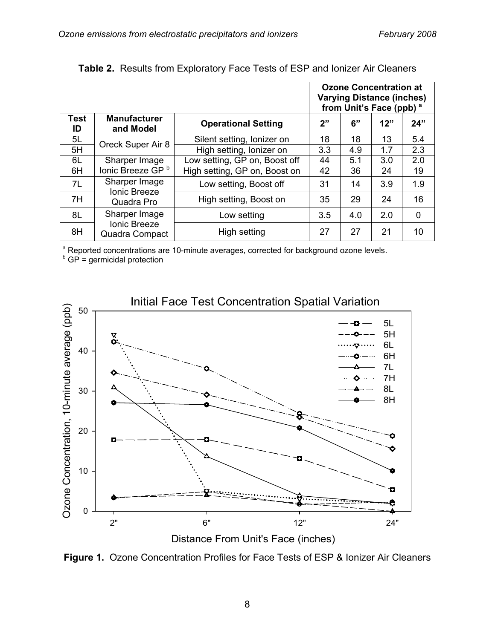|                   |                                       |                               | <b>Ozone Concentration at</b><br><b>Varying Distance (inches)</b><br>from Unit's Face (ppb) <sup>a</sup> |     |     |             |
|-------------------|---------------------------------------|-------------------------------|----------------------------------------------------------------------------------------------------------|-----|-----|-------------|
| <b>Test</b><br>ID | <b>Manufacturer</b><br>and Model      | <b>Operational Setting</b>    | 2"                                                                                                       | 6"  | 12" | 24"         |
| 5L                | Oreck Super Air 8                     | Silent setting, lonizer on    | 18                                                                                                       | 18  | 13  | 5.4         |
| 5H                |                                       | High setting, lonizer on      | 3.3                                                                                                      | 4.9 | 1.7 | 2.3         |
| 6L                | Sharper Image                         | Low setting, GP on, Boost off | 44                                                                                                       | 5.1 | 3.0 | 2.0         |
| 6H                | lonic Breeze GP <sup>b</sup>          | High setting, GP on, Boost on | 42                                                                                                       | 36  | 24  | 19          |
| 7L                | Sharper Image<br><b>Ionic Breeze</b>  | Low setting, Boost off        | 31                                                                                                       | 14  | 3.9 | 1.9         |
| 7H                | Quadra Pro                            | High setting, Boost on        | 35                                                                                                       | 29  | 24  | 16          |
| 8L                | Sharper Image                         | Low setting                   | 3.5                                                                                                      | 4.0 | 2.0 | $\mathbf 0$ |
| 8H                | <b>Ionic Breeze</b><br>Quadra Compact | High setting                  | 27                                                                                                       | 27  | 21  | 10          |

#### **Table 2.** Results from Exploratory Face Tests of ESP and Ionizer Air Cleaners

<sup>a</sup> Reported concentrations are 10-minute averages, corrected for background ozone levels.

 $b$  GP = germicidal protection



#### Initial Face Test Concentration Spatial Variation

**Figure 1.** Ozone Concentration Profiles for Face Tests of ESP & Ionizer Air Cleaners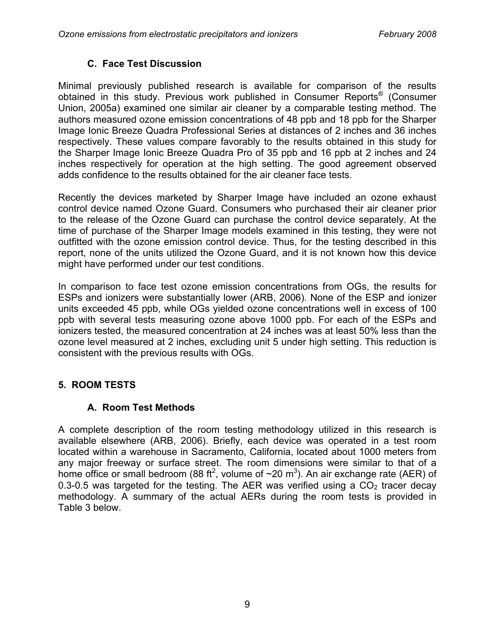#### **C. Face Test Discussion**

Minimal previously published research is available for comparison of the results obtained in this study. Previous work published in Consumer Reports® (Consumer Union, 2005a) examined one similar air cleaner by a comparable testing method. The authors measured ozone emission concentrations of 48 ppb and 18 ppb for the Sharper Image Ionic Breeze Quadra Professional Series at distances of 2 inches and 36 inches respectively. These values compare favorably to the results obtained in this study for the Sharper Image Ionic Breeze Quadra Pro of 35 ppb and 16 ppb at 2 inches and 24 inches respectively for operation at the high setting. The good agreement observed adds confidence to the results obtained for the air cleaner face tests.

Recently the devices marketed by Sharper Image have included an ozone exhaust control device named Ozone Guard. Consumers who purchased their air cleaner prior to the release of the Ozone Guard can purchase the control device separately. At the time of purchase of the Sharper Image models examined in this testing, they were not outfitted with the ozone emission control device. Thus, for the testing described in this report, none of the units utilized the Ozone Guard, and it is not known how this device might have performed under our test conditions.

In comparison to face test ozone emission concentrations from OGs, the results for ESPs and ionizers were substantially lower (ARB, 2006). None of the ESP and ionizer units exceeded 45 ppb, while OGs yielded ozone concentrations well in excess of 100 ppb with several tests measuring ozone above 1000 ppb. For each of the ESPs and ionizers tested, the measured concentration at 24 inches was at least 50% less than the ozone level measured at 2 inches, excluding unit 5 under high setting. This reduction is consistent with the previous results with OGs.

## **5. ROOM TESTS**

## **A. Room Test Methods**

A complete description of the room testing methodology utilized in this research is available elsewhere (ARB, 2006). Briefly, each device was operated in a test room located within a warehouse in Sacramento, California, located about 1000 meters from any major freeway or surface street. The room dimensions were similar to that of a home office or small bedroom (88 ft<sup>2</sup>, volume of  $\sim$ 20 m<sup>3</sup>). An air exchange rate (AER) of 0.3-0.5 was targeted for the testing. The AER was verified using a  $CO<sub>2</sub>$  tracer decay methodology. A summary of the actual AERs during the room tests is provided in Table 3 below.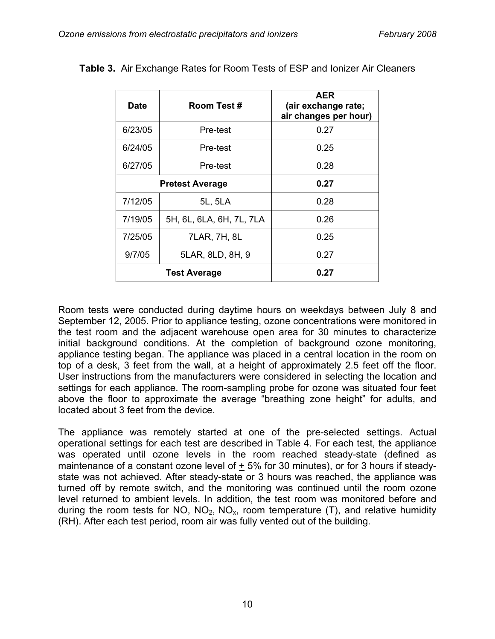| <b>Date</b> | Room Test #              | <b>AER</b><br>(air exchange rate;<br>air changes per hour) |
|-------------|--------------------------|------------------------------------------------------------|
| 6/23/05     | Pre-test                 | 0.27                                                       |
| 6/24/05     | Pre-test                 | 0.25                                                       |
| 6/27/05     | Pre-test                 | 0.28                                                       |
|             | <b>Pretest Average</b>   | 0.27                                                       |
| 7/12/05     | 5L, 5LA                  | 0.28                                                       |
| 7/19/05     | 5H, 6L, 6LA, 6H, 7L, 7LA | 0.26                                                       |
| 7/25/05     | 7LAR, 7H, 8L             | 0.25                                                       |
| 9/7/05      | 5LAR, 8LD, 8H, 9         | 0.27                                                       |
|             | <b>Test Average</b>      | 0.27                                                       |

**Table 3.** Air Exchange Rates for Room Tests of ESP and Ionizer Air Cleaners

Room tests were conducted during daytime hours on weekdays between July 8 and September 12, 2005. Prior to appliance testing, ozone concentrations were monitored in the test room and the adjacent warehouse open area for 30 minutes to characterize initial background conditions. At the completion of background ozone monitoring, appliance testing began. The appliance was placed in a central location in the room on top of a desk, 3 feet from the wall, at a height of approximately 2.5 feet off the floor. User instructions from the manufacturers were considered in selecting the location and settings for each appliance. The room-sampling probe for ozone was situated four feet above the floor to approximate the average "breathing zone height" for adults, and located about 3 feet from the device.

The appliance was remotely started at one of the pre-selected settings. Actual operational settings for each test are described in Table 4. For each test, the appliance was operated until ozone levels in the room reached steady-state (defined as maintenance of a constant ozone level of  $\pm$  5% for 30 minutes), or for 3 hours if steadystate was not achieved. After steady-state or 3 hours was reached, the appliance was turned off by remote switch, and the monitoring was continued until the room ozone level returned to ambient levels. In addition, the test room was monitored before and during the room tests for NO,  $NO<sub>2</sub>$ , NO<sub>x</sub>, room temperature (T), and relative humidity (RH). After each test period, room air was fully vented out of the building.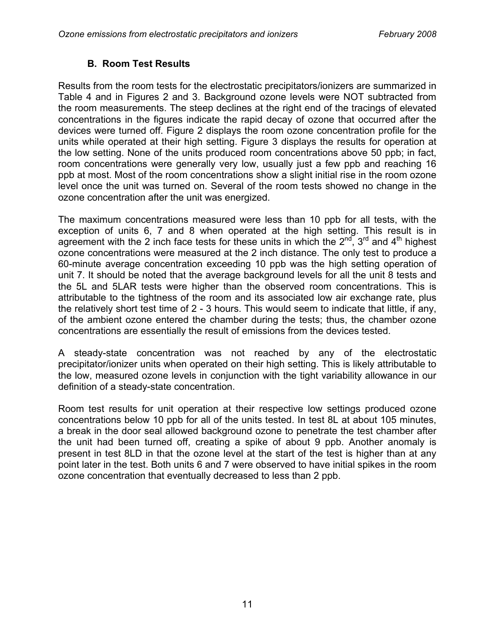#### **B. Room Test Results**

Results from the room tests for the electrostatic precipitators/ionizers are summarized in Table 4 and in Figures 2 and 3. Background ozone levels were NOT subtracted from the room measurements. The steep declines at the right end of the tracings of elevated concentrations in the figures indicate the rapid decay of ozone that occurred after the devices were turned off. Figure 2 displays the room ozone concentration profile for the units while operated at their high setting. Figure 3 displays the results for operation at the low setting. None of the units produced room concentrations above 50 ppb; in fact, room concentrations were generally very low, usually just a few ppb and reaching 16 ppb at most. Most of the room concentrations show a slight initial rise in the room ozone level once the unit was turned on. Several of the room tests showed no change in the ozone concentration after the unit was energized.

The maximum concentrations measured were less than 10 ppb for all tests, with the exception of units 6, 7 and 8 when operated at the high setting. This result is in agreement with the 2 inch face tests for these units in which the  $2^{nd}$ ,  $3^{rd}$  and  $4^{th}$  highest ozone concentrations were measured at the 2 inch distance. The only test to produce a 60-minute average concentration exceeding 10 ppb was the high setting operation of unit 7. It should be noted that the average background levels for all the unit 8 tests and the 5L and 5LAR tests were higher than the observed room concentrations. This is attributable to the tightness of the room and its associated low air exchange rate, plus the relatively short test time of 2 - 3 hours. This would seem to indicate that little, if any, of the ambient ozone entered the chamber during the tests; thus, the chamber ozone concentrations are essentially the result of emissions from the devices tested.

A steady-state concentration was not reached by any of the electrostatic precipitator/ionizer units when operated on their high setting. This is likely attributable to the low, measured ozone levels in conjunction with the tight variability allowance in our definition of a steady-state concentration.

Room test results for unit operation at their respective low settings produced ozone concentrations below 10 ppb for all of the units tested. In test 8L at about 105 minutes, a break in the door seal allowed background ozone to penetrate the test chamber after the unit had been turned off, creating a spike of about 9 ppb. Another anomaly is present in test 8LD in that the ozone level at the start of the test is higher than at any point later in the test. Both units 6 and 7 were observed to have initial spikes in the room ozone concentration that eventually decreased to less than 2 ppb.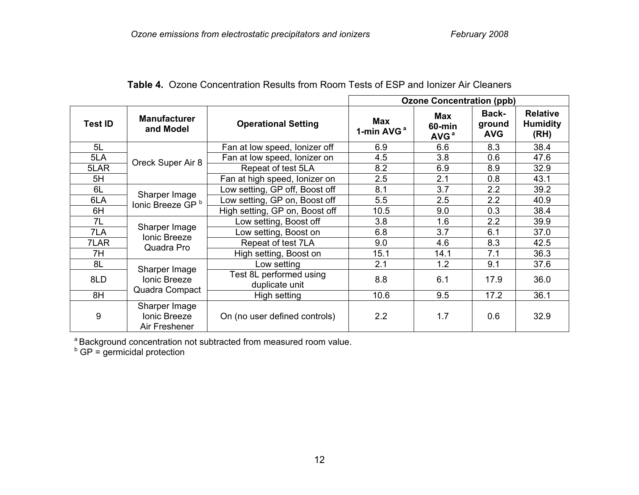|                |                                                        |                                           | <b>Ozone Concentration (ppb)</b> |                                      |                               |                                            |
|----------------|--------------------------------------------------------|-------------------------------------------|----------------------------------|--------------------------------------|-------------------------------|--------------------------------------------|
| <b>Test ID</b> | <b>Manufacturer</b><br>and Model                       | <b>Operational Setting</b>                | Max<br>1-min AVG <sup>a</sup>    | Max<br>$60$ -min<br>AVG <sup>a</sup> | Back-<br>ground<br><b>AVG</b> | <b>Relative</b><br><b>Humidity</b><br>(RH) |
| 5L             |                                                        | Fan at low speed, lonizer off             | 6.9                              | 6.6                                  | 8.3                           | 38.4                                       |
| 5LA            | Oreck Super Air 8                                      | Fan at low speed, lonizer on              | 4.5                              | 3.8                                  | 0.6                           | 47.6                                       |
| 5LAR           |                                                        | Repeat of test 5LA                        | 8.2                              | 6.9                                  | 8.9                           | 32.9                                       |
| 5H             |                                                        | Fan at high speed, lonizer on             | 2.5                              | 2.1                                  | 0.8                           | 43.1                                       |
| 6L             |                                                        | Low setting, GP off, Boost off            | 8.1                              | 3.7                                  | 2.2                           | 39.2                                       |
| 6LA            | Sharper Image<br>lonic Breeze GP <sup>b</sup>          | Low setting, GP on, Boost off             | 5.5                              | 2.5                                  | 2.2                           | 40.9                                       |
| 6H             |                                                        | High setting, GP on, Boost off            | 10.5                             | 9.0                                  | 0.3                           | 38.4                                       |
| 7L             |                                                        | Low setting, Boost off                    | 3.8                              | 1.6                                  | 2.2                           | 39.9                                       |
| 7LA            | Sharper Image<br><b>Ionic Breeze</b>                   | Low setting, Boost on                     | 6.8                              | 3.7                                  | 6.1                           | 37.0                                       |
| 7LAR           | Quadra Pro                                             | Repeat of test 7LA                        | 9.0                              | 4.6                                  | 8.3                           | 42.5                                       |
| 7H             |                                                        | High setting, Boost on                    | 15.1                             | 14.1                                 | 7.1                           | 36.3                                       |
| 8L             |                                                        | Low setting                               | 2.1                              | 1.2                                  | 9.1                           | 37.6                                       |
| 8LD            | Sharper Image<br><b>Ionic Breeze</b><br>Quadra Compact | Test 8L performed using<br>duplicate unit | 8.8                              | 6.1                                  | 17.9                          | 36.0                                       |
| 8H             |                                                        | High setting                              | 10.6                             | 9.5                                  | 17.2                          | 36.1                                       |
| 9              | Sharper Image<br><b>Ionic Breeze</b><br>Air Freshener  | On (no user defined controls)             | 2.2                              | 1.7                                  | 0.6                           | 32.9                                       |

**Table 4.** Ozone Concentration Results from Room Tests of ESP and Ionizer Air Cleaners

<sup>a</sup> Background concentration not subtracted from measured room value.

 $b$  GP = germicidal protection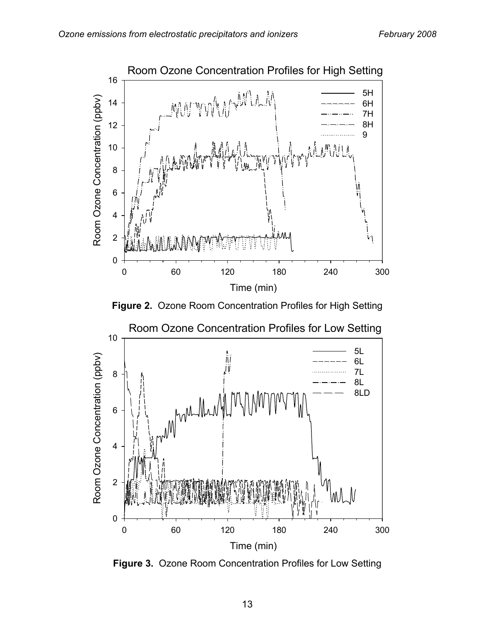





Room Ozone Concentration Profiles for Low Setting

**Figure 3.** Ozone Room Concentration Profiles for Low Setting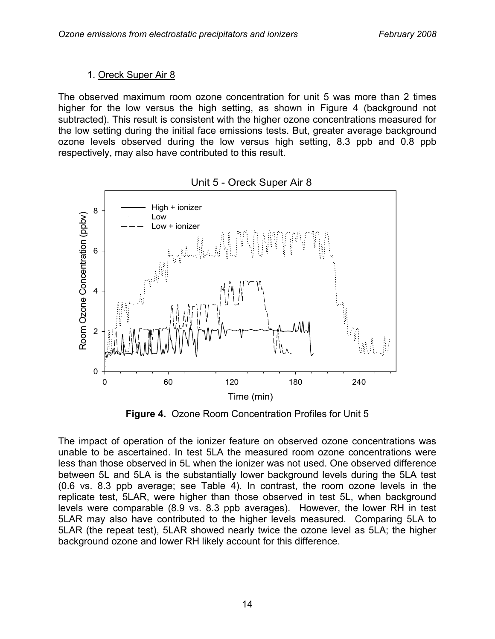#### 1. Oreck Super Air 8

The observed maximum room ozone concentration for unit 5 was more than 2 times higher for the low versus the high setting, as shown in Figure 4 (background not subtracted). This result is consistent with the higher ozone concentrations measured for the low setting during the initial face emissions tests. But, greater average background ozone levels observed during the low versus high setting, 8.3 ppb and 0.8 ppb respectively, may also have contributed to this result.



Unit 5 - Oreck Super Air 8

**Figure 4.** Ozone Room Concentration Profiles for Unit 5

The impact of operation of the ionizer feature on observed ozone concentrations was unable to be ascertained. In test 5LA the measured room ozone concentrations were less than those observed in 5L when the ionizer was not used. One observed difference between 5L and 5LA is the substantially lower background levels during the 5LA test (0.6 vs. 8.3 ppb average; see Table 4). In contrast, the room ozone levels in the replicate test, 5LAR, were higher than those observed in test 5L, when background levels were comparable (8.9 vs. 8.3 ppb averages). However, the lower RH in test 5LAR may also have contributed to the higher levels measured. Comparing 5LA to 5LAR (the repeat test), 5LAR showed nearly twice the ozone level as 5LA; the higher background ozone and lower RH likely account for this difference.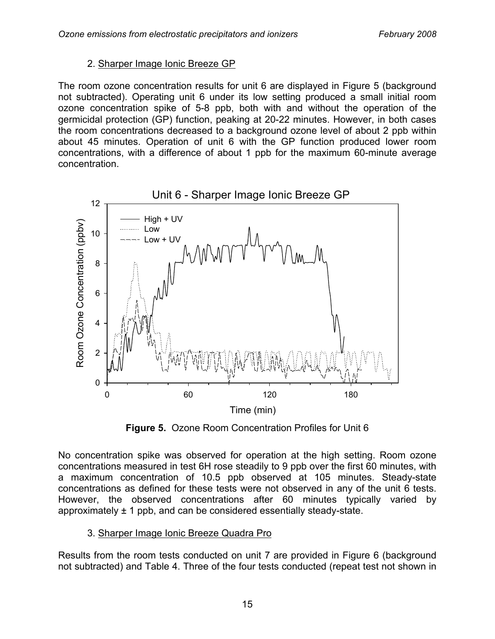#### 2. Sharper Image Ionic Breeze GP

The room ozone concentration results for unit 6 are displayed in Figure 5 (background not subtracted). Operating unit 6 under its low setting produced a small initial room ozone concentration spike of 5-8 ppb, both with and without the operation of the germicidal protection (GP) function, peaking at 20-22 minutes. However, in both cases the room concentrations decreased to a background ozone level of about 2 ppb within about 45 minutes. Operation of unit 6 with the GP function produced lower room concentrations, with a difference of about 1 ppb for the maximum 60-minute average concentration.



**Figure 5.** Ozone Room Concentration Profiles for Unit 6

No concentration spike was observed for operation at the high setting. Room ozone concentrations measured in test 6H rose steadily to 9 ppb over the first 60 minutes, with a maximum concentration of 10.5 ppb observed at 105 minutes. Steady-state concentrations as defined for these tests were not observed in any of the unit 6 tests. However, the observed concentrations after 60 minutes typically varied by approximately ± 1 ppb, and can be considered essentially steady-state.

#### 3. Sharper Image Ionic Breeze Quadra Pro

Results from the room tests conducted on unit 7 are provided in Figure 6 (background not subtracted) and Table 4. Three of the four tests conducted (repeat test not shown in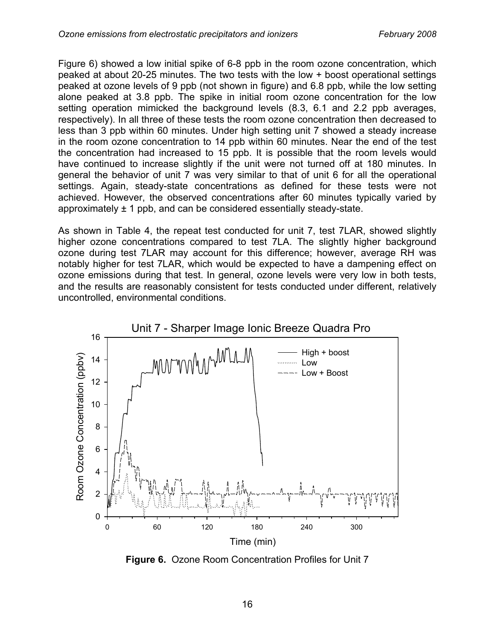Figure 6) showed a low initial spike of 6-8 ppb in the room ozone concentration, which peaked at about 20-25 minutes. The two tests with the low + boost operational settings peaked at ozone levels of 9 ppb (not shown in figure) and 6.8 ppb, while the low setting alone peaked at 3.8 ppb. The spike in initial room ozone concentration for the low setting operation mimicked the background levels (8.3, 6.1 and 2.2 ppb averages, respectively). In all three of these tests the room ozone concentration then decreased to less than 3 ppb within 60 minutes. Under high setting unit 7 showed a steady increase in the room ozone concentration to 14 ppb within 60 minutes. Near the end of the test the concentration had increased to 15 ppb. It is possible that the room levels would have continued to increase slightly if the unit were not turned off at 180 minutes. In general the behavior of unit 7 was very similar to that of unit 6 for all the operational settings. Again, steady-state concentrations as defined for these tests were not achieved. However, the observed concentrations after 60 minutes typically varied by approximately  $\pm$  1 ppb, and can be considered essentially steady-state.

As shown in Table 4, the repeat test conducted for unit 7, test 7LAR, showed slightly higher ozone concentrations compared to test 7LA. The slightly higher background ozone during test 7LAR may account for this difference; however, average RH was notably higher for test 7LAR, which would be expected to have a dampening effect on ozone emissions during that test. In general, ozone levels were very low in both tests, and the results are reasonably consistent for tests conducted under different, relatively uncontrolled, environmental conditions.



**Figure 6.** Ozone Room Concentration Profiles for Unit 7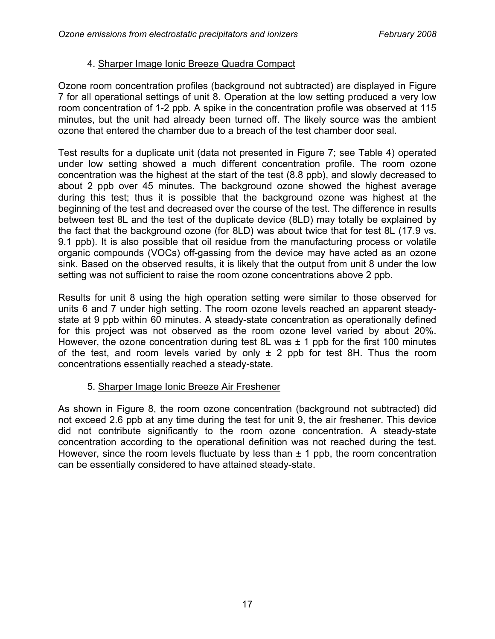#### 4. Sharper Image Ionic Breeze Quadra Compact

Ozone room concentration profiles (background not subtracted) are displayed in Figure 7 for all operational settings of unit 8. Operation at the low setting produced a very low room concentration of 1-2 ppb. A spike in the concentration profile was observed at 115 minutes, but the unit had already been turned off. The likely source was the ambient ozone that entered the chamber due to a breach of the test chamber door seal.

Test results for a duplicate unit (data not presented in Figure 7; see Table 4) operated under low setting showed a much different concentration profile. The room ozone concentration was the highest at the start of the test (8.8 ppb), and slowly decreased to about 2 ppb over 45 minutes. The background ozone showed the highest average during this test; thus it is possible that the background ozone was highest at the beginning of the test and decreased over the course of the test. The difference in results between test 8L and the test of the duplicate device (8LD) may totally be explained by the fact that the background ozone (for 8LD) was about twice that for test 8L (17.9 vs. 9.1 ppb). It is also possible that oil residue from the manufacturing process or volatile organic compounds (VOCs) off-gassing from the device may have acted as an ozone sink. Based on the observed results, it is likely that the output from unit 8 under the low setting was not sufficient to raise the room ozone concentrations above 2 ppb.

Results for unit 8 using the high operation setting were similar to those observed for units 6 and 7 under high setting. The room ozone levels reached an apparent steadystate at 9 ppb within 60 minutes. A steady-state concentration as operationally defined for this project was not observed as the room ozone level varied by about 20%. However, the ozone concentration during test 8L was  $\pm$  1 ppb for the first 100 minutes of the test, and room levels varied by only  $\pm$  2 ppb for test 8H. Thus the room concentrations essentially reached a steady-state.

#### 5. Sharper Image Ionic Breeze Air Freshener

As shown in Figure 8, the room ozone concentration (background not subtracted) did not exceed 2.6 ppb at any time during the test for unit 9, the air freshener. This device did not contribute significantly to the room ozone concentration. A steady-state concentration according to the operational definition was not reached during the test. However, since the room levels fluctuate by less than  $\pm$  1 ppb, the room concentration can be essentially considered to have attained steady-state.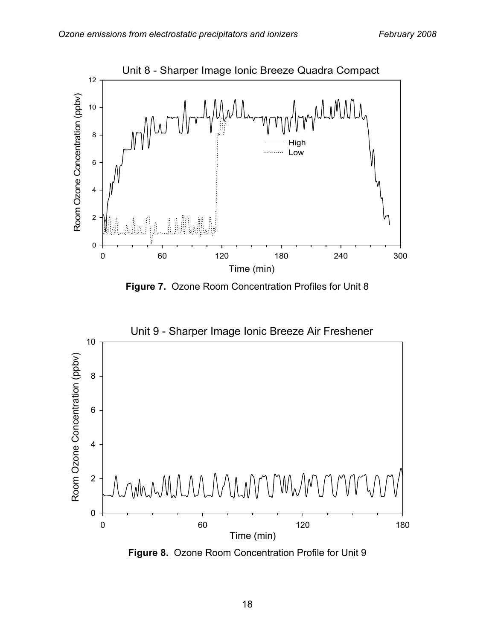

**Figure 7.** Ozone Room Concentration Profiles for Unit 8



**Figure 8.** Ozone Room Concentration Profile for Unit 9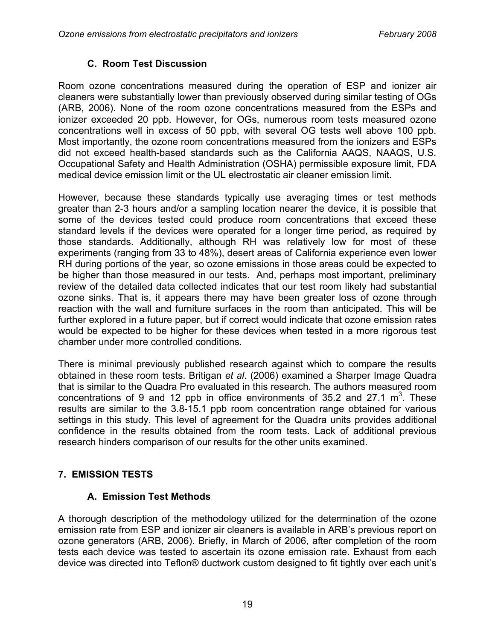#### **C. Room Test Discussion**

Room ozone concentrations measured during the operation of ESP and ionizer air cleaners were substantially lower than previously observed during similar testing of OGs (ARB, 2006). None of the room ozone concentrations measured from the ESPs and ionizer exceeded 20 ppb. However, for OGs, numerous room tests measured ozone concentrations well in excess of 50 ppb, with several OG tests well above 100 ppb. Most importantly, the ozone room concentrations measured from the ionizers and ESPs did not exceed health-based standards such as the California AAQS, NAAQS, U.S. Occupational Safety and Health Administration (OSHA) permissible exposure limit, FDA medical device emission limit or the UL electrostatic air cleaner emission limit.

However, because these standards typically use averaging times or test methods greater than 2-3 hours and/or a sampling location nearer the device, it is possible that some of the devices tested could produce room concentrations that exceed these standard levels if the devices were operated for a longer time period, as required by those standards. Additionally, although RH was relatively low for most of these experiments (ranging from 33 to 48%), desert areas of California experience even lower RH during portions of the year, so ozone emissions in those areas could be expected to be higher than those measured in our tests. And, perhaps most important, preliminary review of the detailed data collected indicates that our test room likely had substantial ozone sinks. That is, it appears there may have been greater loss of ozone through reaction with the wall and furniture surfaces in the room than anticipated. This will be further explored in a future paper, but if correct would indicate that ozone emission rates would be expected to be higher for these devices when tested in a more rigorous test chamber under more controlled conditions.

There is minimal previously published research against which to compare the results obtained in these room tests. Britigan *et al*. (2006) examined a Sharper Image Quadra that is similar to the Quadra Pro evaluated in this research. The authors measured room concentrations of 9 and 12 ppb in office environments of 35.2 and 27.1  $m<sup>3</sup>$ . These results are similar to the 3.8-15.1 ppb room concentration range obtained for various settings in this study. This level of agreement for the Quadra units provides additional confidence in the results obtained from the room tests. Lack of additional previous research hinders comparison of our results for the other units examined.

## **7. EMISSION TESTS**

#### **A. Emission Test Methods**

A thorough description of the methodology utilized for the determination of the ozone emission rate from ESP and ionizer air cleaners is available in ARB's previous report on ozone generators (ARB, 2006). Briefly, in March of 2006, after completion of the room tests each device was tested to ascertain its ozone emission rate. Exhaust from each device was directed into Teflon® ductwork custom designed to fit tightly over each unit's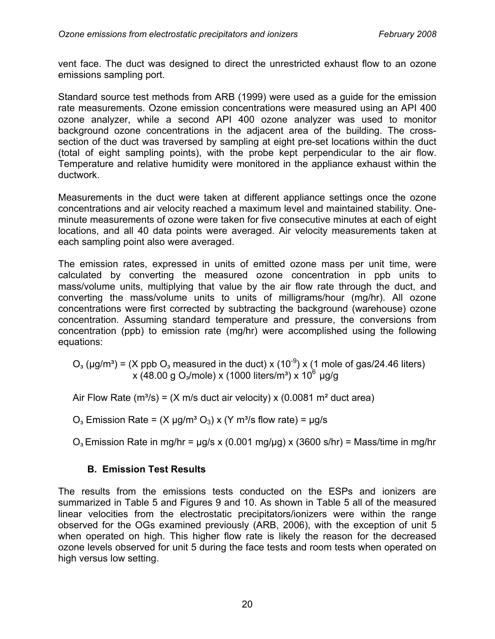vent face. The duct was designed to direct the unrestricted exhaust flow to an ozone emissions sampling port.

Standard source test methods from ARB (1999) were used as a guide for the emission rate measurements. Ozone emission concentrations were measured using an API 400 ozone analyzer, while a second API 400 ozone analyzer was used to monitor background ozone concentrations in the adjacent area of the building. The crosssection of the duct was traversed by sampling at eight pre-set locations within the duct (total of eight sampling points), with the probe kept perpendicular to the air flow. Temperature and relative humidity were monitored in the appliance exhaust within the ductwork.

Measurements in the duct were taken at different appliance settings once the ozone concentrations and air velocity reached a maximum level and maintained stability. Oneminute measurements of ozone were taken for five consecutive minutes at each of eight locations, and all 40 data points were averaged. Air velocity measurements taken at each sampling point also were averaged.

The emission rates, expressed in units of emitted ozone mass per unit time, were calculated by converting the measured ozone concentration in ppb units to mass/volume units, multiplying that value by the air flow rate through the duct, and converting the mass/volume units to units of milligrams/hour (mg/hr). All ozone concentrations were first corrected by subtracting the background (warehouse) ozone concentration. Assuming standard temperature and pressure, the conversions from concentration (ppb) to emission rate (mg/hr) were accomplished using the following equations:

 $O<sub>3</sub>$  (µg/m<sup>3</sup>) = (X ppb  $O<sub>3</sub>$  measured in the duct) x (10<sup>-9</sup>) x (1 mole of gas/24.46 liters)  $x$  (48.00 g O<sub>3</sub>/mole) x (1000 liters/m<sup>3</sup>) x 10<sup>6</sup> µg/g

Air Flow Rate (m<sup>3</sup>/s) = (X m/s duct air velocity) x (0.0081 m<sup>2</sup> duct area)

 $O<sub>3</sub>$  Emission Rate = (X  $\mu$ g/m<sup>3</sup> O<sub>3</sub>) x (Y m<sup>3</sup>/s flow rate) =  $\mu$ g/s

 $O<sub>3</sub>$  Emission Rate in mg/hr =  $\mu$ g/s x (0.001 mg/ $\mu$ g) x (3600 s/hr) = Mass/time in mg/hr

#### **B. Emission Test Results**

The results from the emissions tests conducted on the ESPs and ionizers are summarized in Table 5 and Figures 9 and 10. As shown in Table 5 all of the measured linear velocities from the electrostatic precipitators/ionizers were within the range observed for the OGs examined previously (ARB, 2006), with the exception of unit 5 when operated on high. This higher flow rate is likely the reason for the decreased ozone levels observed for unit 5 during the face tests and room tests when operated on high versus low setting.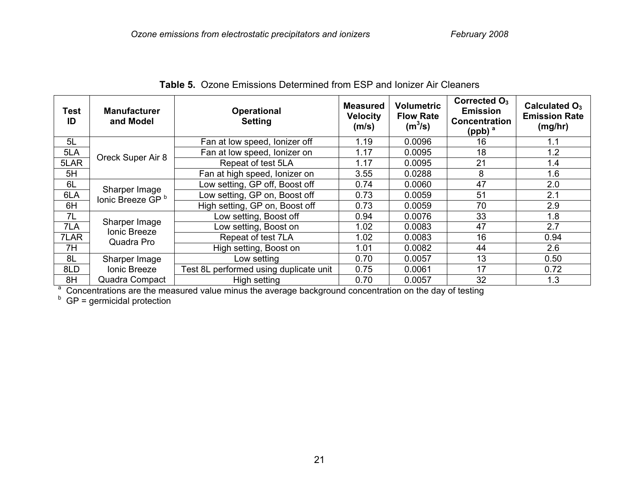| <b>Test</b><br>ID | <b>Manufacturer</b><br>and Model                                                                                    | <b>Operational</b><br><b>Setting</b>   | <b>Measured</b><br><b>Velocity</b><br>(m/s) | <b>Volumetric</b><br><b>Flow Rate</b><br>$(m^3/s)$ | Corrected $O3$<br><b>Emission</b><br><b>Concentration</b><br>(ppb) $a$ | Calculated $O_3$<br><b>Emission Rate</b><br>(mg/hr) |  |
|-------------------|---------------------------------------------------------------------------------------------------------------------|----------------------------------------|---------------------------------------------|----------------------------------------------------|------------------------------------------------------------------------|-----------------------------------------------------|--|
| 5L                |                                                                                                                     | Fan at low speed, lonizer off          | 1.19                                        | 0.0096                                             | 16                                                                     | 1.1                                                 |  |
| 5LA               | Oreck Super Air 8                                                                                                   | Fan at low speed, lonizer on           | 1.17                                        | 0.0095                                             | 18                                                                     | 1.2                                                 |  |
| 5LAR              |                                                                                                                     | Repeat of test 5LA                     | 1.17                                        | 0.0095                                             | 21                                                                     | 1.4                                                 |  |
| 5H                |                                                                                                                     | Fan at high speed, lonizer on          | 3.55                                        | 0.0288                                             | 8                                                                      | 1.6                                                 |  |
| 6L                | Sharper Image                                                                                                       | Low setting, GP off, Boost off         | 0.74                                        | 0.0060                                             | 47                                                                     | 2.0                                                 |  |
| 6LA               | lonic Breeze GP <sup>b</sup>                                                                                        | Low setting, GP on, Boost off          | 0.73                                        | 0.0059                                             | 51                                                                     | 2.1                                                 |  |
| 6H                |                                                                                                                     | High setting, GP on, Boost off         | 0.73                                        | 0.0059                                             | 70                                                                     | 2.9                                                 |  |
| 7L                |                                                                                                                     | Low setting, Boost off                 | 0.94                                        | 0.0076                                             | 33                                                                     | 1.8                                                 |  |
| 7LA               | Sharper Image<br>Ionic Breeze                                                                                       | Low setting, Boost on                  | 1.02                                        | 0.0083                                             | 47                                                                     | 2.7                                                 |  |
| 7LAR              | Quadra Pro                                                                                                          | Repeat of test 7LA                     | 1.02                                        | 0.0083                                             | 16                                                                     | 0.94                                                |  |
| 7H                |                                                                                                                     | High setting, Boost on                 | 1.01                                        | 0.0082                                             | 44                                                                     | 2.6                                                 |  |
| 8L                | Sharper Image                                                                                                       | Low setting                            | 0.70                                        | 0.0057                                             | 13                                                                     | 0.50                                                |  |
| 8LD               | Ionic Breeze                                                                                                        | Test 8L performed using duplicate unit | 0.75                                        | 0.0061                                             | 17                                                                     | 0.72                                                |  |
| 8H                | Quadra Compact                                                                                                      | High setting                           | 0.70                                        | 0.0057                                             | 32                                                                     | 1.3                                                 |  |
|                   | <sup>a</sup> Concentrations are the measured value minus the average background concentration on the day of testing |                                        |                                             |                                                    |                                                                        |                                                     |  |

**Table 5.** Ozone Emissions Determined from ESP and Ionizer Air Cleaners

 $b$  GP = germicidal protection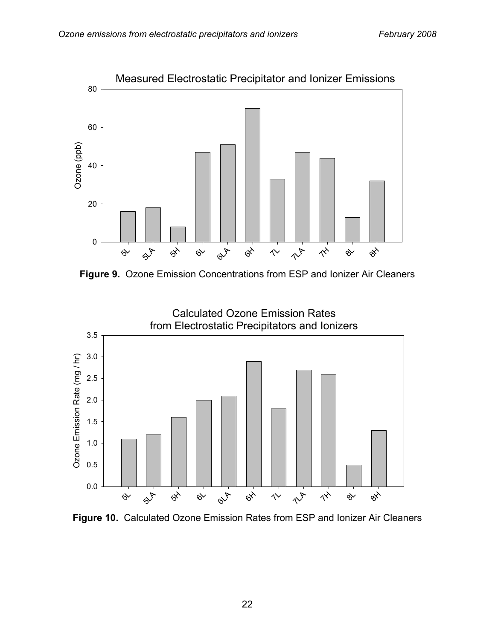

**Figure 9.** Ozone Emission Concentrations from ESP and Ionizer Air Cleaners



**Figure 10.** Calculated Ozone Emission Rates from ESP and Ionizer Air Cleaners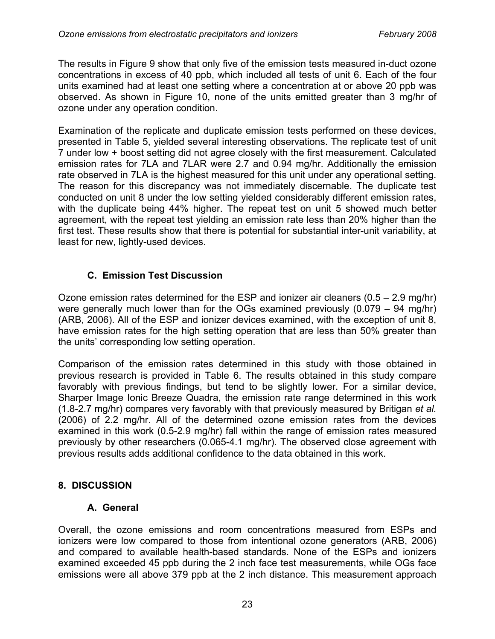The results in Figure 9 show that only five of the emission tests measured in-duct ozone concentrations in excess of 40 ppb, which included all tests of unit 6. Each of the four units examined had at least one setting where a concentration at or above 20 ppb was observed. As shown in Figure 10, none of the units emitted greater than 3 mg/hr of ozone under any operation condition.

Examination of the replicate and duplicate emission tests performed on these devices, presented in Table 5, yielded several interesting observations. The replicate test of unit 7 under low + boost setting did not agree closely with the first measurement. Calculated emission rates for 7LA and 7LAR were 2.7 and 0.94 mg/hr. Additionally the emission rate observed in 7LA is the highest measured for this unit under any operational setting. The reason for this discrepancy was not immediately discernable. The duplicate test conducted on unit 8 under the low setting yielded considerably different emission rates, with the duplicate being 44% higher. The repeat test on unit 5 showed much better agreement, with the repeat test yielding an emission rate less than 20% higher than the first test. These results show that there is potential for substantial inter-unit variability, at least for new, lightly-used devices.

## **C. Emission Test Discussion**

Ozone emission rates determined for the ESP and ionizer air cleaners (0.5 – 2.9 mg/hr) were generally much lower than for the OGs examined previously (0.079 – 94 mg/hr) (ARB, 2006). All of the ESP and ionizer devices examined, with the exception of unit 8, have emission rates for the high setting operation that are less than 50% greater than the units' corresponding low setting operation.

Comparison of the emission rates determined in this study with those obtained in previous research is provided in Table 6. The results obtained in this study compare favorably with previous findings, but tend to be slightly lower. For a similar device, Sharper Image Ionic Breeze Quadra, the emission rate range determined in this work (1.8-2.7 mg/hr) compares very favorably with that previously measured by Britigan *et al.* (2006) of 2.2 mg/hr. All of the determined ozone emission rates from the devices examined in this work (0.5-2.9 mg/hr) fall within the range of emission rates measured previously by other researchers (0.065-4.1 mg/hr). The observed close agreement with previous results adds additional confidence to the data obtained in this work.

## **8. DISCUSSION**

## **A. General**

Overall, the ozone emissions and room concentrations measured from ESPs and ionizers were low compared to those from intentional ozone generators (ARB, 2006) and compared to available health-based standards. None of the ESPs and ionizers examined exceeded 45 ppb during the 2 inch face test measurements, while OGs face emissions were all above 379 ppb at the 2 inch distance. This measurement approach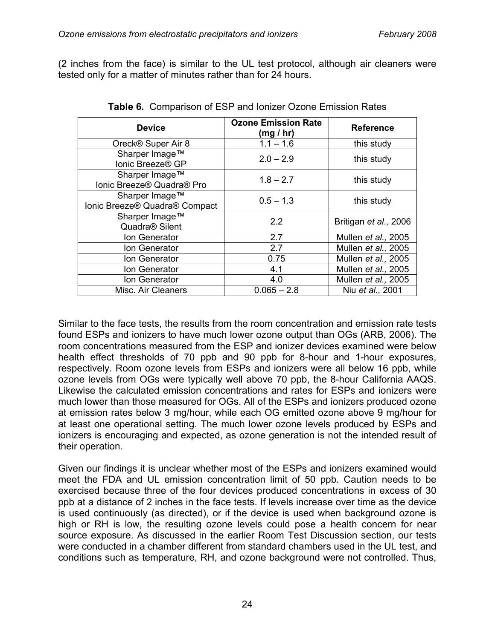(2 inches from the face) is similar to the UL test protocol, although air cleaners were tested only for a matter of minutes rather than for 24 hours.

| <b>Device</b>                                   | <b>Ozone Emission Rate</b><br>(mg / hr) | <b>Reference</b>            |
|-------------------------------------------------|-----------------------------------------|-----------------------------|
| Oreck® Super Air 8                              | $1.1 - 1.6$                             | this study                  |
| Sharper Image™<br>Ionic Breeze® GP              | $2.0 - 2.9$                             | this study                  |
| Sharper Image™<br>Ionic Breeze® Quadra® Pro     | $1.8 - 2.7$                             | this study                  |
| Sharper Image™<br>Ionic Breeze® Quadra® Compact | $0.5 - 1.3$                             | this study                  |
| Sharper Image™<br>Quadra <sup>®</sup> Silent    | 2.2                                     | Britigan et al., 2006       |
| Ion Generator                                   | 2.7                                     | Mullen <i>et al.</i> , 2005 |
| Ion Generator                                   | 2.7                                     | Mullen et al., 2005         |
| Ion Generator                                   | 0.75                                    | Mullen et al., 2005         |
| Ion Generator                                   | 4.1                                     | Mullen et al., 2005         |
| Ion Generator                                   | 4.0                                     | Mullen et al., 2005         |
| Misc. Air Cleaners                              | $0.065 - 2.8$                           | Niu et al., 2001            |

**Table 6.** Comparison of ESP and Ionizer Ozone Emission Rates

Similar to the face tests, the results from the room concentration and emission rate tests found ESPs and ionizers to have much lower ozone output than OGs (ARB, 2006). The room concentrations measured from the ESP and ionizer devices examined were below health effect thresholds of 70 ppb and 90 ppb for 8-hour and 1-hour exposures, respectively. Room ozone levels from ESPs and ionizers were all below 16 ppb, while ozone levels from OGs were typically well above 70 ppb, the 8-hour California AAQS. Likewise the calculated emission concentrations and rates for ESPs and ionizers were much lower than those measured for OGs. All of the ESPs and ionizers produced ozone at emission rates below 3 mg/hour, while each OG emitted ozone above 9 mg/hour for at least one operational setting. The much lower ozone levels produced by ESPs and ionizers is encouraging and expected, as ozone generation is not the intended result of their operation.

Given our findings it is unclear whether most of the ESPs and ionizers examined would meet the FDA and UL emission concentration limit of 50 ppb. Caution needs to be exercised because three of the four devices produced concentrations in excess of 30 ppb at a distance of 2 inches in the face tests. If levels increase over time as the device is used continuously (as directed), or if the device is used when background ozone is high or RH is low, the resulting ozone levels could pose a health concern for near source exposure. As discussed in the earlier Room Test Discussion section, our tests were conducted in a chamber different from standard chambers used in the UL test, and conditions such as temperature, RH, and ozone background were not controlled. Thus,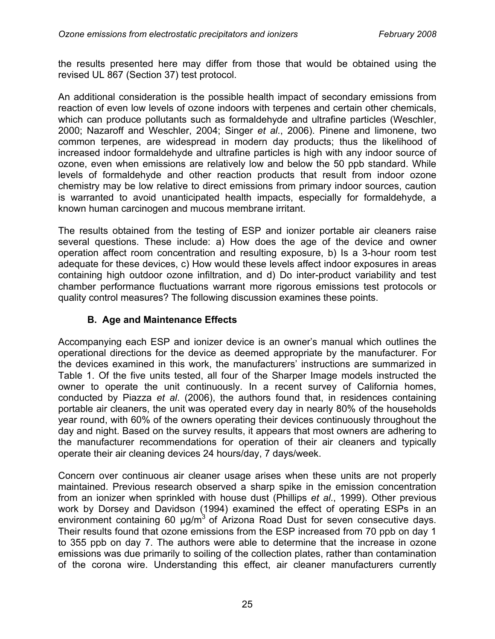the results presented here may differ from those that would be obtained using the revised UL 867 (Section 37) test protocol.

An additional consideration is the possible health impact of secondary emissions from reaction of even low levels of ozone indoors with terpenes and certain other chemicals, which can produce pollutants such as formaldehyde and ultrafine particles (Weschler, 2000; Nazaroff and Weschler, 2004; Singer *et al*., 2006). Pinene and limonene, two common terpenes, are widespread in modern day products; thus the likelihood of increased indoor formaldehyde and ultrafine particles is high with any indoor source of ozone, even when emissions are relatively low and below the 50 ppb standard. While levels of formaldehyde and other reaction products that result from indoor ozone chemistry may be low relative to direct emissions from primary indoor sources, caution is warranted to avoid unanticipated health impacts, especially for formaldehyde, a known human carcinogen and mucous membrane irritant.

The results obtained from the testing of ESP and ionizer portable air cleaners raise several questions. These include: a) How does the age of the device and owner operation affect room concentration and resulting exposure, b) Is a 3-hour room test adequate for these devices, c) How would these levels affect indoor exposures in areas containing high outdoor ozone infiltration, and d) Do inter-product variability and test chamber performance fluctuations warrant more rigorous emissions test protocols or quality control measures? The following discussion examines these points.

#### **B. Age and Maintenance Effects**

Accompanying each ESP and ionizer device is an owner's manual which outlines the operational directions for the device as deemed appropriate by the manufacturer. For the devices examined in this work, the manufacturers' instructions are summarized in Table 1. Of the five units tested, all four of the Sharper Image models instructed the owner to operate the unit continuously. In a recent survey of California homes, conducted by Piazza *et al*. (2006), the authors found that, in residences containing portable air cleaners, the unit was operated every day in nearly 80% of the households year round, with 60% of the owners operating their devices continuously throughout the day and night. Based on the survey results, it appears that most owners are adhering to the manufacturer recommendations for operation of their air cleaners and typically operate their air cleaning devices 24 hours/day, 7 days/week.

Concern over continuous air cleaner usage arises when these units are not properly maintained. Previous research observed a sharp spike in the emission concentration from an ionizer when sprinkled with house dust (Phillips *et al*., 1999). Other previous work by Dorsey and Davidson (1994) examined the effect of operating ESPs in an environment containing 60  $\mu$ g/m<sup>3</sup> of Arizona Road Dust for seven consecutive days. Their results found that ozone emissions from the ESP increased from 70 ppb on day 1 to 355 ppb on day 7. The authors were able to determine that the increase in ozone emissions was due primarily to soiling of the collection plates, rather than contamination of the corona wire. Understanding this effect, air cleaner manufacturers currently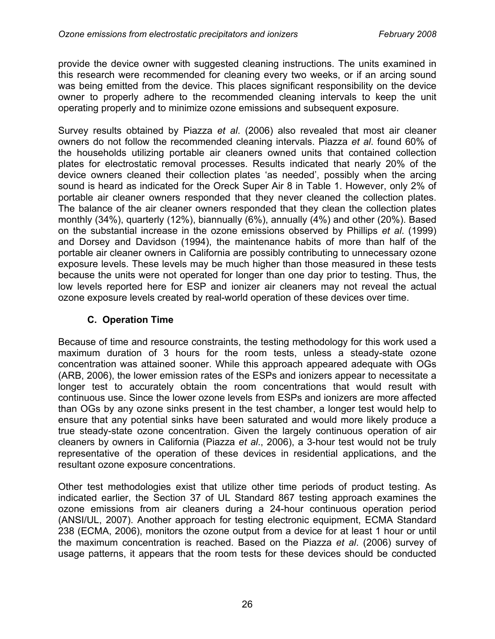provide the device owner with suggested cleaning instructions. The units examined in this research were recommended for cleaning every two weeks, or if an arcing sound was being emitted from the device. This places significant responsibility on the device owner to properly adhere to the recommended cleaning intervals to keep the unit operating properly and to minimize ozone emissions and subsequent exposure.

Survey results obtained by Piazza *et al*. (2006) also revealed that most air cleaner owners do not follow the recommended cleaning intervals. Piazza *et al*. found 60% of the households utilizing portable air cleaners owned units that contained collection plates for electrostatic removal processes. Results indicated that nearly 20% of the device owners cleaned their collection plates 'as needed', possibly when the arcing sound is heard as indicated for the Oreck Super Air 8 in Table 1. However, only 2% of portable air cleaner owners responded that they never cleaned the collection plates. The balance of the air cleaner owners responded that they clean the collection plates monthly (34%), quarterly (12%), biannually (6%), annually (4%) and other (20%). Based on the substantial increase in the ozone emissions observed by Phillips *et al*. (1999) and Dorsey and Davidson (1994), the maintenance habits of more than half of the portable air cleaner owners in California are possibly contributing to unnecessary ozone exposure levels. These levels may be much higher than those measured in these tests because the units were not operated for longer than one day prior to testing. Thus, the low levels reported here for ESP and ionizer air cleaners may not reveal the actual ozone exposure levels created by real-world operation of these devices over time.

#### **C. Operation Time**

Because of time and resource constraints, the testing methodology for this work used a maximum duration of 3 hours for the room tests, unless a steady-state ozone concentration was attained sooner. While this approach appeared adequate with OGs (ARB, 2006), the lower emission rates of the ESPs and ionizers appear to necessitate a longer test to accurately obtain the room concentrations that would result with continuous use. Since the lower ozone levels from ESPs and ionizers are more affected than OGs by any ozone sinks present in the test chamber, a longer test would help to ensure that any potential sinks have been saturated and would more likely produce a true steady-state ozone concentration. Given the largely continuous operation of air cleaners by owners in California (Piazza *et al*., 2006), a 3-hour test would not be truly representative of the operation of these devices in residential applications, and the resultant ozone exposure concentrations.

Other test methodologies exist that utilize other time periods of product testing. As indicated earlier, the Section 37 of UL Standard 867 testing approach examines the ozone emissions from air cleaners during a 24-hour continuous operation period (ANSI/UL, 2007). Another approach for testing electronic equipment, ECMA Standard 238 (ECMA, 2006), monitors the ozone output from a device for at least 1 hour or until the maximum concentration is reached. Based on the Piazza *et al*. (2006) survey of usage patterns, it appears that the room tests for these devices should be conducted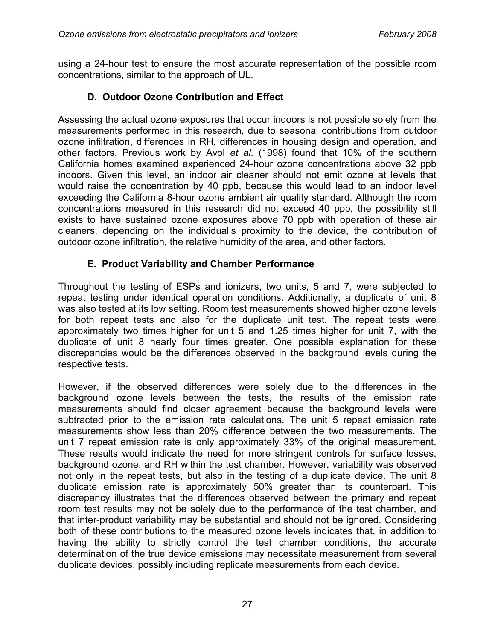using a 24-hour test to ensure the most accurate representation of the possible room concentrations, similar to the approach of UL.

#### **D. Outdoor Ozone Contribution and Effect**

Assessing the actual ozone exposures that occur indoors is not possible solely from the measurements performed in this research, due to seasonal contributions from outdoor ozone infiltration, differences in RH, differences in housing design and operation, and other factors. Previous work by Avol *et al*. (1998) found that 10% of the southern California homes examined experienced 24-hour ozone concentrations above 32 ppb indoors. Given this level, an indoor air cleaner should not emit ozone at levels that would raise the concentration by 40 ppb, because this would lead to an indoor level exceeding the California 8-hour ozone ambient air quality standard. Although the room concentrations measured in this research did not exceed 40 ppb, the possibility still exists to have sustained ozone exposures above 70 ppb with operation of these air cleaners, depending on the individual's proximity to the device, the contribution of outdoor ozone infiltration, the relative humidity of the area, and other factors.

#### **E. Product Variability and Chamber Performance**

Throughout the testing of ESPs and ionizers, two units, 5 and 7, were subjected to repeat testing under identical operation conditions. Additionally, a duplicate of unit 8 was also tested at its low setting. Room test measurements showed higher ozone levels for both repeat tests and also for the duplicate unit test. The repeat tests were approximately two times higher for unit 5 and 1.25 times higher for unit 7, with the duplicate of unit 8 nearly four times greater. One possible explanation for these discrepancies would be the differences observed in the background levels during the respective tests.

However, if the observed differences were solely due to the differences in the background ozone levels between the tests, the results of the emission rate measurements should find closer agreement because the background levels were subtracted prior to the emission rate calculations. The unit 5 repeat emission rate measurements show less than 20% difference between the two measurements. The unit 7 repeat emission rate is only approximately 33% of the original measurement. These results would indicate the need for more stringent controls for surface losses, background ozone, and RH within the test chamber. However, variability was observed not only in the repeat tests, but also in the testing of a duplicate device. The unit 8 duplicate emission rate is approximately 50% greater than its counterpart. This discrepancy illustrates that the differences observed between the primary and repeat room test results may not be solely due to the performance of the test chamber, and that inter-product variability may be substantial and should not be ignored. Considering both of these contributions to the measured ozone levels indicates that, in addition to having the ability to strictly control the test chamber conditions, the accurate determination of the true device emissions may necessitate measurement from several duplicate devices, possibly including replicate measurements from each device.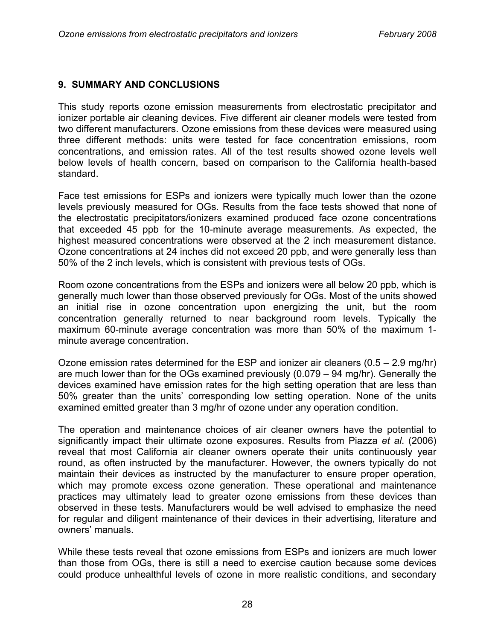#### **9. SUMMARY AND CONCLUSIONS**

This study reports ozone emission measurements from electrostatic precipitator and ionizer portable air cleaning devices. Five different air cleaner models were tested from two different manufacturers. Ozone emissions from these devices were measured using three different methods: units were tested for face concentration emissions, room concentrations, and emission rates. All of the test results showed ozone levels well below levels of health concern, based on comparison to the California health-based standard.

Face test emissions for ESPs and ionizers were typically much lower than the ozone levels previously measured for OGs. Results from the face tests showed that none of the electrostatic precipitators/ionizers examined produced face ozone concentrations that exceeded 45 ppb for the 10-minute average measurements. As expected, the highest measured concentrations were observed at the 2 inch measurement distance. Ozone concentrations at 24 inches did not exceed 20 ppb, and were generally less than 50% of the 2 inch levels, which is consistent with previous tests of OGs.

Room ozone concentrations from the ESPs and ionizers were all below 20 ppb, which is generally much lower than those observed previously for OGs. Most of the units showed an initial rise in ozone concentration upon energizing the unit, but the room concentration generally returned to near background room levels. Typically the maximum 60-minute average concentration was more than 50% of the maximum 1 minute average concentration.

Ozone emission rates determined for the ESP and ionizer air cleaners (0.5 – 2.9 mg/hr) are much lower than for the OGs examined previously (0.079 – 94 mg/hr). Generally the devices examined have emission rates for the high setting operation that are less than 50% greater than the units' corresponding low setting operation. None of the units examined emitted greater than 3 mg/hr of ozone under any operation condition.

The operation and maintenance choices of air cleaner owners have the potential to significantly impact their ultimate ozone exposures. Results from Piazza *et al*. (2006) reveal that most California air cleaner owners operate their units continuously year round, as often instructed by the manufacturer. However, the owners typically do not maintain their devices as instructed by the manufacturer to ensure proper operation, which may promote excess ozone generation. These operational and maintenance practices may ultimately lead to greater ozone emissions from these devices than observed in these tests. Manufacturers would be well advised to emphasize the need for regular and diligent maintenance of their devices in their advertising, literature and owners' manuals.

While these tests reveal that ozone emissions from ESPs and ionizers are much lower than those from OGs, there is still a need to exercise caution because some devices could produce unhealthful levels of ozone in more realistic conditions, and secondary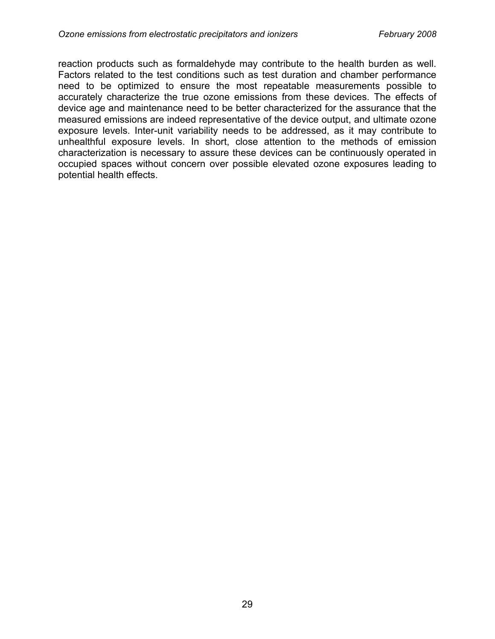reaction products such as formaldehyde may contribute to the health burden as well. Factors related to the test conditions such as test duration and chamber performance need to be optimized to ensure the most repeatable measurements possible to accurately characterize the true ozone emissions from these devices. The effects of device age and maintenance need to be better characterized for the assurance that the measured emissions are indeed representative of the device output, and ultimate ozone exposure levels. Inter-unit variability needs to be addressed, as it may contribute to unhealthful exposure levels. In short, close attention to the methods of emission characterization is necessary to assure these devices can be continuously operated in occupied spaces without concern over possible elevated ozone exposures leading to potential health effects.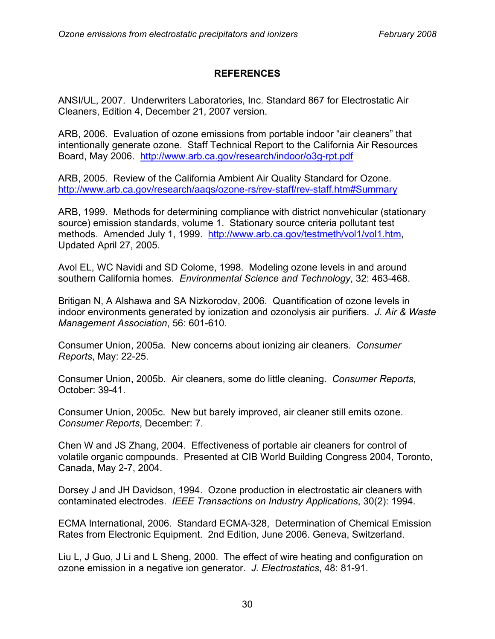#### **REFERENCES**

ANSI/UL, 2007. Underwriters Laboratories, Inc. Standard 867 for Electrostatic Air Cleaners, Edition 4, December 21, 2007 version.

ARB, 2006. Evaluation of ozone emissions from portable indoor "air cleaners" that intentionally generate ozone. Staff Technical Report to the California Air Resources Board, May 2006. <http://www.arb.ca.gov/research/indoor/o3g-rpt.pdf>

ARB, 2005. Review of the California Ambient Air Quality Standard for Ozone. <http://www.arb.ca.gov/research/aaqs/ozone-rs/rev-staff/rev-staff.htm#Summary>

ARB, 1999. Methods for determining compliance with district nonvehicular (stationary source) emission standards, volume 1. Stationary source criteria pollutant test methods. Amended July 1, 1999. [http://www.arb.ca.gov/testmeth/vol1/vol1.htm,](http://www.arb.ca.gov/testmeth/vol1/vol1.htm)  Updated April 27, 2005.

Avol EL, WC Navidi and SD Colome, 1998. Modeling ozone levels in and around southern California homes. *Environmental Science and Technology*, 32: 463-468.

Britigan N, A Alshawa and SA Nizkorodov, 2006. Quantification of ozone levels in indoor environments generated by ionization and ozonolysis air purifiers. *J. Air & Waste Management Association*, 56: 601-610.

Consumer Union, 2005a. New concerns about ionizing air cleaners. *Consumer Reports*, May: 22-25.

Consumer Union, 2005b. Air cleaners, some do little cleaning. *Consumer Reports*, October: 39-41.

Consumer Union, 2005c. New but barely improved, air cleaner still emits ozone. *Consumer Reports*, December: 7.

Chen W and JS Zhang, 2004. Effectiveness of portable air cleaners for control of volatile organic compounds. Presented at CIB World Building Congress 2004, Toronto, Canada, May 2-7, 2004.

Dorsey J and JH Davidson, 1994. Ozone production in electrostatic air cleaners with contaminated electrodes. *IEEE Transactions on Industry Applications*, 30(2): 1994.

ECMA International, 2006. Standard ECMA-328, Determination of Chemical Emission Rates from Electronic Equipment. 2nd Edition, June 2006. Geneva, Switzerland.

Liu L, J Guo, J Li and L Sheng, 2000. The effect of wire heating and configuration on ozone emission in a negative ion generator. *J. Electrostatics*, 48: 81-91.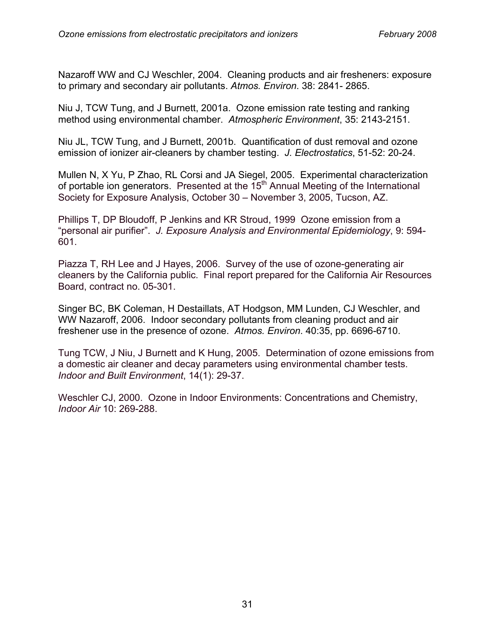Nazaroff WW and CJ Weschler, 2004. Cleaning products and air fresheners: exposure to primary and secondary air pollutants. *Atmos. Environ*. 38: 2841- 2865.

Niu J, TCW Tung, and J Burnett, 2001a. Ozone emission rate testing and ranking method using environmental chamber. *Atmospheric Environment*, 35: 2143-2151.

Niu JL, TCW Tung, and J Burnett, 2001b. Quantification of dust removal and ozone emission of ionizer air-cleaners by chamber testing. *J. Electrostatics*, 51-52: 20-24.

Mullen N, X Yu, P Zhao, RL Corsi and JA Siegel, 2005. Experimental characterization of portable ion generators. Presented at the 15<sup>th</sup> Annual Meeting of the International Society for Exposure Analysis, October 30 – November 3, 2005, Tucson, AZ.

Phillips T, DP Bloudoff, P Jenkins and KR Stroud, 1999 Ozone emission from a "personal air purifier". *J. Exposure Analysis and Environmental Epidemiology*, 9: 594- 601.

Piazza T, RH Lee and J Hayes, 2006. Survey of the use of ozone-generating air cleaners by the California public. Final report prepared for the California Air Resources Board, contract no. 05-301.

Singer BC, BK Coleman, H Destaillats, AT Hodgson, MM Lunden, CJ Weschler, and WW Nazaroff, 2006. Indoor secondary pollutants from cleaning product and air freshener use in the presence of ozone. *Atmos. Environ*. 40:35, pp. 6696-6710.

Tung TCW, J Niu, J Burnett and K Hung, 2005. Determination of ozone emissions from a domestic air cleaner and decay parameters using environmental chamber tests. *Indoor and Built Environment*, 14(1): 29-37.

Weschler CJ, 2000. Ozone in Indoor Environments: Concentrations and Chemistry, *Indoor Air* 10: 269-288.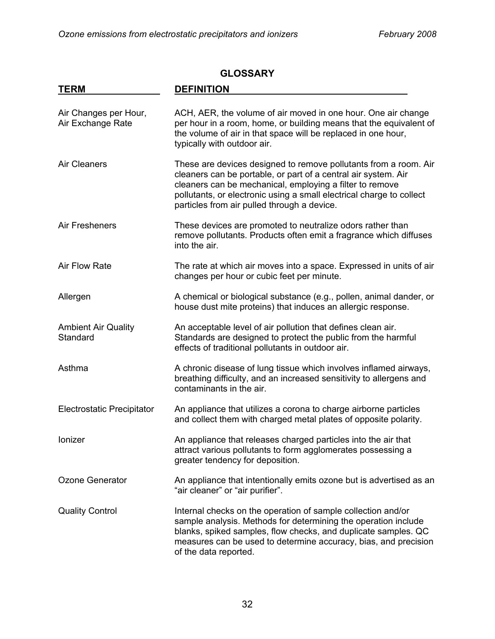# **TERM DEFINITION**  Air Changes per Hour, ACH, AER, the volume of air moved in one hour. One air change Air Exchange Rate per hour in a room, home, or building means that the equivalent of the volume of air in that space will be replaced in one hour, typically with outdoor air. Air Cleaners These are devices designed to remove pollutants from a room. Air cleaners can be portable, or part of a central air system. Air cleaners can be mechanical, employing a filter to remove pollutants, or electronic using a small electrical charge to collect particles from air pulled through a device. Air Fresheners These devices are promoted to neutralize odors rather than remove pollutants. Products often emit a fragrance which diffuses into the air. Air Flow Rate The rate at which air moves into a space. Expressed in units of air changes per hour or cubic feet per minute. Allergen A chemical or biological substance (e.g., pollen, animal dander, or house dust mite proteins) that induces an allergic response. Ambient Air Quality **An acceptable level of air pollution that defines clean air.** Standard Standards are designed to protect the public from the harmful effects of traditional pollutants in outdoor air. Asthma **A** chronic disease of lung tissue which involves inflamed airways, breathing difficulty, and an increased sensitivity to allergens and contaminants in the air. Electrostatic Precipitator An appliance that utilizes a corona to charge airborne particles and collect them with charged metal plates of opposite polarity. Ionizer **An appliance that releases charged particles into the air that** attract various pollutants to form agglomerates possessing a greater tendency for deposition. Ozone Generator **An appliance that intentionally emits ozone but is advertised as an** "air cleaner" or "air purifier". Quality Control Internal checks on the operation of sample collection and/or sample analysis. Methods for determining the operation include blanks, spiked samples, flow checks, and duplicate samples. QC measures can be used to determine accuracy, bias, and precision of the data reported.

#### **GLOSSARY**